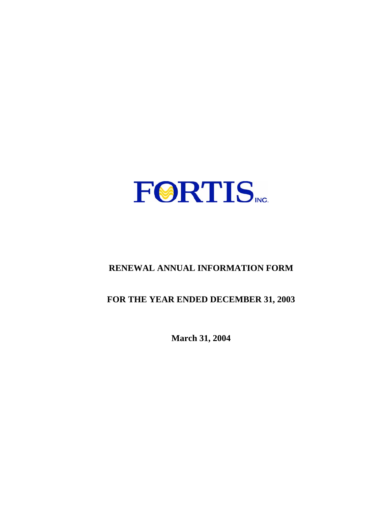

# **RENEWAL ANNUAL INFORMATION FORM**

# **FOR THE YEAR ENDED DECEMBER 31, 2003**

**March 31, 2004**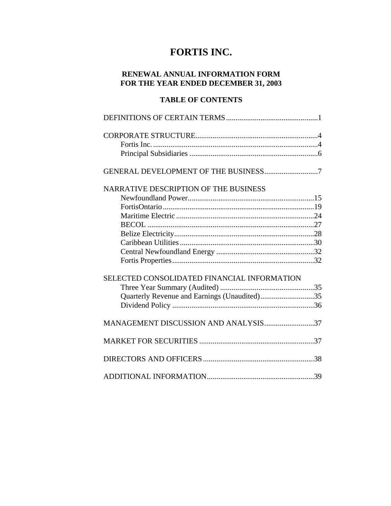# **FORTIS INC.**

# **RENEWAL ANNUAL INFORMATION FORM FOR THE YEAR ENDED DECEMBER 31, 2003**

# **TABLE OF CONTENTS**

| NARRATIVE DESCRIPTION OF THE BUSINESS        |  |
|----------------------------------------------|--|
|                                              |  |
|                                              |  |
|                                              |  |
|                                              |  |
|                                              |  |
|                                              |  |
|                                              |  |
|                                              |  |
| SELECTED CONSOLIDATED FINANCIAL INFORMATION  |  |
|                                              |  |
| Quarterly Revenue and Earnings (Unaudited)35 |  |
|                                              |  |
| MANAGEMENT DISCUSSION AND ANALYSIS37         |  |
|                                              |  |
|                                              |  |
|                                              |  |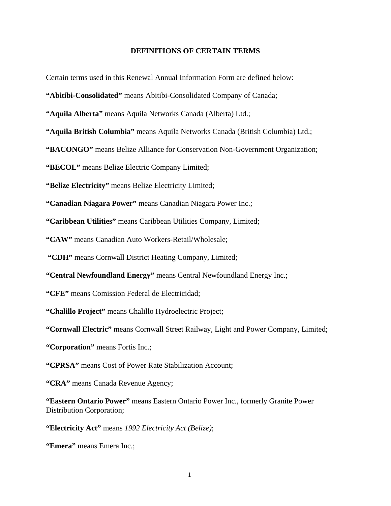### **DEFINITIONS OF CERTAIN TERMS**

Certain terms used in this Renewal Annual Information Form are defined below:

**"Abitibi-Consolidated"** means Abitibi-Consolidated Company of Canada;

**"Aquila Alberta"** means Aquila Networks Canada (Alberta) Ltd.;

**"Aquila British Columbia"** means Aquila Networks Canada (British Columbia) Ltd.;

**"BACONGO"** means Belize Alliance for Conservation Non-Government Organization;

**"BECOL"** means Belize Electric Company Limited;

**"Belize Electricity"** means Belize Electricity Limited;

**"Canadian Niagara Power"** means Canadian Niagara Power Inc.;

**"Caribbean Utilities"** means Caribbean Utilities Company, Limited;

**"CAW"** means Canadian Auto Workers-Retail/Wholesale;

 **"CDH"** means Cornwall District Heating Company, Limited;

**"Central Newfoundland Energy"** means Central Newfoundland Energy Inc.;

**"CFE"** means Comission Federal de Electricidad;

**"Chalillo Project"** means Chalillo Hydroelectric Project;

**"Cornwall Electric"** means Cornwall Street Railway, Light and Power Company, Limited;

**"Corporation"** means Fortis Inc.;

**"CPRSA"** means Cost of Power Rate Stabilization Account;

**"CRA"** means Canada Revenue Agency;

**"Eastern Ontario Power"** means Eastern Ontario Power Inc., formerly Granite Power Distribution Corporation;

**"Electricity Act"** means *1992 Electricity Act (Belize)*;

**"Emera"** means Emera Inc.;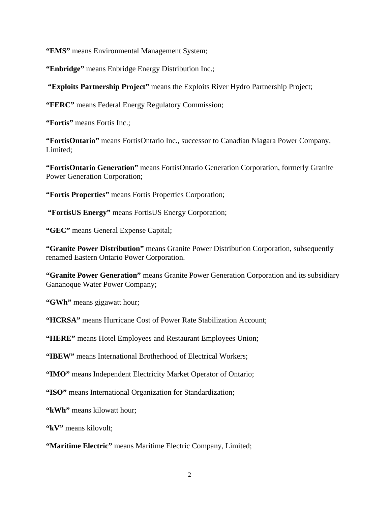**"EMS"** means Environmental Management System;

**"Enbridge"** means Enbridge Energy Distribution Inc.;

 **"Exploits Partnership Project"** means the Exploits River Hydro Partnership Project;

**"FERC"** means Federal Energy Regulatory Commission;

**"Fortis"** means Fortis Inc.;

**"FortisOntario"** means FortisOntario Inc., successor to Canadian Niagara Power Company, Limited;

**"FortisOntario Generation"** means FortisOntario Generation Corporation, formerly Granite Power Generation Corporation;

**"Fortis Properties"** means Fortis Properties Corporation;

 **"FortisUS Energy"** means FortisUS Energy Corporation;

**"GEC"** means General Expense Capital;

**"Granite Power Distribution"** means Granite Power Distribution Corporation, subsequently renamed Eastern Ontario Power Corporation.

**"Granite Power Generation"** means Granite Power Generation Corporation and its subsidiary Gananoque Water Power Company;

**"GWh"** means gigawatt hour;

**"HCRSA"** means Hurricane Cost of Power Rate Stabilization Account;

**"HERE"** means Hotel Employees and Restaurant Employees Union;

**"IBEW"** means International Brotherhood of Electrical Workers;

**"IMO"** means Independent Electricity Market Operator of Ontario;

**"ISO"** means International Organization for Standardization;

**"kWh"** means kilowatt hour;

**"kV"** means kilovolt;

**"Maritime Electric"** means Maritime Electric Company, Limited;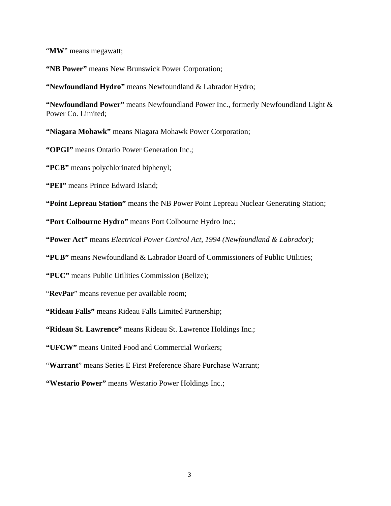"**MW**" means megawatt;

**"NB Power"** means New Brunswick Power Corporation;

**"Newfoundland Hydro"** means Newfoundland & Labrador Hydro;

**"Newfoundland Power"** means Newfoundland Power Inc., formerly Newfoundland Light & Power Co. Limited;

**"Niagara Mohawk"** means Niagara Mohawk Power Corporation;

**"OPGI"** means Ontario Power Generation Inc.;

**"PCB"** means polychlorinated biphenyl;

**"PEI"** means Prince Edward Island;

**"Point Lepreau Station"** means the NB Power Point Lepreau Nuclear Generating Station;

**"Port Colbourne Hydro"** means Port Colbourne Hydro Inc.;

**"Power Act"** means *Electrical Power Control Act, 1994 (Newfoundland & Labrador);* 

**"PUB"** means Newfoundland & Labrador Board of Commissioners of Public Utilities;

**"PUC"** means Public Utilities Commission (Belize);

"**RevPar**" means revenue per available room;

**"Rideau Falls"** means Rideau Falls Limited Partnership;

**"Rideau St. Lawrence"** means Rideau St. Lawrence Holdings Inc.;

**"UFCW"** means United Food and Commercial Workers;

"**Warrant**" means Series E First Preference Share Purchase Warrant;

**"Westario Power"** means Westario Power Holdings Inc.;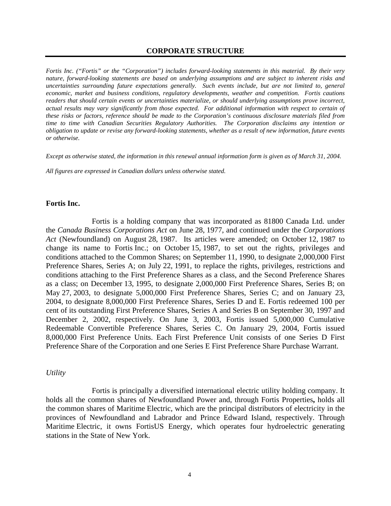#### **CORPORATE STRUCTURE**

*Fortis Inc. ("Fortis" or the "Corporation") includes forward-looking statements in this material. By their very nature, forward-looking statements are based on underlying assumptions and are subject to inherent risks and uncertainties surrounding future expectations generally. Such events include, but are not limited to, general economic, market and business conditions, regulatory developments, weather and competition. Fortis cautions readers that should certain events or uncertainties materialize, or should underlying assumptions prove incorrect, actual results may vary significantly from those expected. For additional information with respect to certain of these risks or factors, reference should be made to the Corporation's continuous disclosure materials filed from time to time with Canadian Securities Regulatory Authorities. The Corporation disclaims any intention or obligation to update or revise any forward-looking statements, whether as a result of new information, future events or otherwise.* 

*Except as otherwise stated, the information in this renewal annual information form is given as of March 31, 2004.* 

*All figures are expressed in Canadian dollars unless otherwise stated.* 

#### **Fortis Inc.**

 Fortis is a holding company that was incorporated as 81800 Canada Ltd. under the *Canada Business Corporations Act* on June 28, 1977, and continued under the *Corporations Act* (Newfoundland) on August 28, 1987. Its articles were amended; on October 12, 1987 to change its name to Fortis Inc.; on October 15, 1987, to set out the rights, privileges and conditions attached to the Common Shares; on September 11, 1990, to designate 2,000,000 First Preference Shares, Series A; on July 22, 1991, to replace the rights, privileges, restrictions and conditions attaching to the First Preference Shares as a class, and the Second Preference Shares as a class; on December 13, 1995, to designate 2,000,000 First Preference Shares, Series B; on May 27, 2003, to designate 5,000,000 First Preference Shares, Series C; and on January 23, 2004, to designate 8,000,000 First Preference Shares, Series D and E. Fortis redeemed 100 per cent of its outstanding First Preference Shares, Series A and Series B on September 30, 1997 and December 2, 2002, respectively. On June 3, 2003, Fortis issued 5,000,000 Cumulative Redeemable Convertible Preference Shares, Series C. On January 29, 2004, Fortis issued 8,000,000 First Preference Units. Each First Preference Unit consists of one Series D First Preference Share of the Corporation and one Series E First Preference Share Purchase Warrant.

#### *Utility*

Fortis is principally a diversified international electric utility holding company. It holds all the common shares of Newfoundland Power and, through Fortis Properties**,** holds all the common shares of Maritime Electric, which are the principal distributors of electricity in the provinces of Newfoundland and Labrador and Prince Edward Island, respectively. Through Maritime Electric, it owns FortisUS Energy, which operates four hydroelectric generating stations in the State of New York.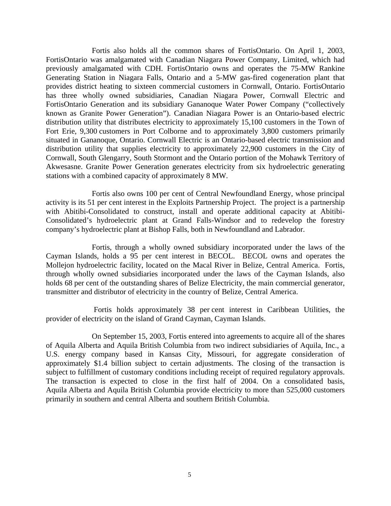Fortis also holds all the common shares of FortisOntario. On April 1, 2003, FortisOntario was amalgamated with Canadian Niagara Power Company, Limited, which had previously amalgamated with CDH. FortisOntario owns and operates the 75-MW Rankine Generating Station in Niagara Falls, Ontario and a 5-MW gas-fired cogeneration plant that provides district heating to sixteen commercial customers in Cornwall, Ontario. FortisOntario has three wholly owned subsidiaries, Canadian Niagara Power, Cornwall Electric and FortisOntario Generation and its subsidiary Gananoque Water Power Company ("collectively known as Granite Power Generation"). Canadian Niagara Power is an Ontario-based electric distribution utility that distributes electricity to approximately 15,100 customers in the Town of Fort Erie, 9,300 customers in Port Colborne and to approximately 3,800 customers primarily situated in Gananoque, Ontario. Cornwall Electric is an Ontario-based electric transmission and distribution utility that supplies electricity to approximately 22,900 customers in the City of Cornwall, South Glengarry, South Stormont and the Ontario portion of the Mohawk Territory of Akwesasne. Granite Power Generation generates electricity from six hydroelectric generating stations with a combined capacity of approximately 8 MW.

Fortis also owns 100 per cent of Central Newfoundland Energy, whose principal activity is its 51 per cent interest in the Exploits Partnership Project. The project is a partnership with Abitibi-Consolidated to construct, install and operate additional capacity at Abitibi-Consolidated's hydroelectric plant at Grand Falls-Windsor and to redevelop the forestry company's hydroelectric plant at Bishop Falls, both in Newfoundland and Labrador.

Fortis, through a wholly owned subsidiary incorporated under the laws of the Cayman Islands, holds a 95 per cent interest in BECOL. BECOL owns and operates the Mollejon hydroelectric facility, located on the Macal River in Belize, Central America. Fortis, through wholly owned subsidiaries incorporated under the laws of the Cayman Islands, also holds 68 per cent of the outstanding shares of Belize Electricity, the main commercial generator, transmitter and distributor of electricity in the country of Belize, Central America.

 Fortis holds approximately 38 per cent interest in Caribbean Utilities, the provider of electricity on the island of Grand Cayman, Cayman Islands.

On September 15, 2003, Fortis entered into agreements to acquire all of the shares of Aquila Alberta and Aquila British Columbia from two indirect subsidiaries of Aquila, Inc., a U.S. energy company based in Kansas City, Missouri, for aggregate consideration of approximately \$1.4 billion subject to certain adjustments. The closing of the transaction is subject to fulfillment of customary conditions including receipt of required regulatory approvals. The transaction is expected to close in the first half of 2004. On a consolidated basis, Aquila Alberta and Aquila British Columbia provide electricity to more than 525,000 customers primarily in southern and central Alberta and southern British Columbia.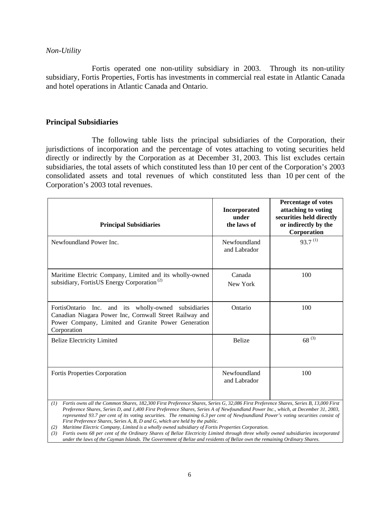#### *Non-Utility*

Fortis operated one non-utility subsidiary in 2003. Through its non-utility subsidiary, Fortis Properties, Fortis has investments in commercial real estate in Atlantic Canada and hotel operations in Atlantic Canada and Ontario.

## **Principal Subsidiaries**

The following table lists the principal subsidiaries of the Corporation, their jurisdictions of incorporation and the percentage of votes attaching to voting securities held directly or indirectly by the Corporation as at December 31, 2003. This list excludes certain subsidiaries, the total assets of which constituted less than 10 per cent of the Corporation's 2003 consolidated assets and total revenues of which constituted less than 10 per cent of the Corporation's 2003 total revenues.

| <b>Principal Subsidiaries</b>                                                                                                                                                         | <b>Incorporated</b><br>under<br>the laws of | Percentage of votes<br>attaching to voting<br>securities held directly<br>or indirectly by the<br>Corporation |
|---------------------------------------------------------------------------------------------------------------------------------------------------------------------------------------|---------------------------------------------|---------------------------------------------------------------------------------------------------------------|
| Newfoundland Power Inc.                                                                                                                                                               | Newfoundland<br>and Labrador                | $93.7^{(1)}$                                                                                                  |
| Maritime Electric Company, Limited and its wholly-owned<br>subsidiary, FortisUS Energy Corporation <sup>(2)</sup>                                                                     | Canada<br>New York                          | 100                                                                                                           |
| FortisOntario Inc. and its wholly-owned subsidiaries<br>Canadian Niagara Power Inc, Cornwall Street Railway and<br>Power Company, Limited and Granite Power Generation<br>Corporation | Ontario                                     | 100                                                                                                           |
| <b>Belize Electricity Limited</b>                                                                                                                                                     | <b>Belize</b>                               | $68^{(3)}$                                                                                                    |
| Fortis Properties Corporation                                                                                                                                                         | Newfoundland<br>and Labrador                | 100                                                                                                           |

*<sup>(1)</sup> Fortis owns all the Common Shares, 182,300 First Preference Shares, Series G, 32,086 First Preference Shares, Series B, 13,000 First Preference Shares, Series D, and 1,400 First Preference Shares, Series A of Newfoundland Power Inc., which, at December 31, 2003, represented 93.7 per cent of its voting securities. The remaining 6.3 per cent of Newfoundland Power's voting securities consist of First Preference Shares, Series A, B, D and G, which are held by the public.* 

*(2) Maritime Electric Company, Limited is a wholly owned subsidiary of Fortis Properties Corporation.* 

*(3) Fortis owns 68 per cent of the Ordinary Shares of Belize Electricity Limited through three wholly owned subsidiaries incorporated under the laws of the Cayman Islands. The Government of Belize and residents of Belize own the remaining Ordinary Shares.*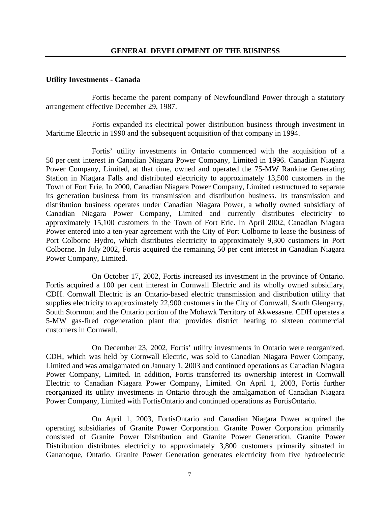# **Utility Investments - Canada**

Fortis became the parent company of Newfoundland Power through a statutory arrangement effective December 29, 1987.

Fortis expanded its electrical power distribution business through investment in Maritime Electric in 1990 and the subsequent acquisition of that company in 1994.

 Fortis' utility investments in Ontario commenced with the acquisition of a 50 per cent interest in Canadian Niagara Power Company, Limited in 1996. Canadian Niagara Power Company, Limited, at that time, owned and operated the 75-MW Rankine Generating Station in Niagara Falls and distributed electricity to approximately 13,500 customers in the Town of Fort Erie. In 2000, Canadian Niagara Power Company, Limited restructured to separate its generation business from its transmission and distribution business. Its transmission and distribution business operates under Canadian Niagara Power, a wholly owned subsidiary of Canadian Niagara Power Company, Limited and currently distributes electricity to approximately 15,100 customers in the Town of Fort Erie. In April 2002, Canadian Niagara Power entered into a ten-year agreement with the City of Port Colborne to lease the business of Port Colborne Hydro, which distributes electricity to approximately 9,300 customers in Port Colborne. In July 2002, Fortis acquired the remaining 50 per cent interest in Canadian Niagara Power Company, Limited.

On October 17, 2002, Fortis increased its investment in the province of Ontario. Fortis acquired a 100 per cent interest in Cornwall Electric and its wholly owned subsidiary, CDH. Cornwall Electric is an Ontario-based electric transmission and distribution utility that supplies electricity to approximately 22,900 customers in the City of Cornwall, South Glengarry, South Stormont and the Ontario portion of the Mohawk Territory of Akwesasne. CDH operates a 5-MW gas-fired cogeneration plant that provides district heating to sixteen commercial customers in Cornwall.

On December 23, 2002, Fortis' utility investments in Ontario were reorganized. CDH, which was held by Cornwall Electric, was sold to Canadian Niagara Power Company, Limited and was amalgamated on January 1, 2003 and continued operations as Canadian Niagara Power Company, Limited. In addition, Fortis transferred its ownership interest in Cornwall Electric to Canadian Niagara Power Company, Limited. On April 1, 2003, Fortis further reorganized its utility investments in Ontario through the amalgamation of Canadian Niagara Power Company, Limited with FortisOntario and continued operations as FortisOntario.

On April 1, 2003, FortisOntario and Canadian Niagara Power acquired the operating subsidiaries of Granite Power Corporation. Granite Power Corporation primarily consisted of Granite Power Distribution and Granite Power Generation. Granite Power Distribution distributes electricity to approximately 3,800 customers primarily situated in Gananoque, Ontario. Granite Power Generation generates electricity from five hydroelectric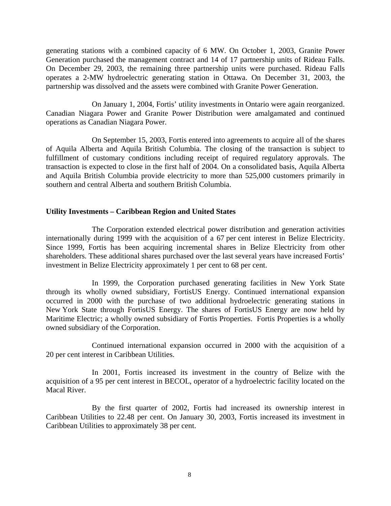generating stations with a combined capacity of 6 MW. On October 1, 2003, Granite Power Generation purchased the management contract and 14 of 17 partnership units of Rideau Falls. On December 29, 2003, the remaining three partnership units were purchased. Rideau Falls operates a 2-MW hydroelectric generating station in Ottawa. On December 31, 2003, the partnership was dissolved and the assets were combined with Granite Power Generation.

 On January 1, 2004, Fortis' utility investments in Ontario were again reorganized. Canadian Niagara Power and Granite Power Distribution were amalgamated and continued operations as Canadian Niagara Power.

On September 15, 2003, Fortis entered into agreements to acquire all of the shares of Aquila Alberta and Aquila British Columbia. The closing of the transaction is subject to fulfillment of customary conditions including receipt of required regulatory approvals. The transaction is expected to close in the first half of 2004. On a consolidated basis, Aquila Alberta and Aquila British Columbia provide electricity to more than 525,000 customers primarily in southern and central Alberta and southern British Columbia.

#### **Utility Investments – Caribbean Region and United States**

The Corporation extended electrical power distribution and generation activities internationally during 1999 with the acquisition of a 67 per cent interest in Belize Electricity. Since 1999, Fortis has been acquiring incremental shares in Belize Electricity from other shareholders. These additional shares purchased over the last several years have increased Fortis' investment in Belize Electricity approximately 1 per cent to 68 per cent.

In 1999, the Corporation purchased generating facilities in New York State through its wholly owned subsidiary, FortisUS Energy. Continued international expansion occurred in 2000 with the purchase of two additional hydroelectric generating stations in New York State through FortisUS Energy. The shares of FortisUS Energy are now held by Maritime Electric; a wholly owned subsidiary of Fortis Properties. Fortis Properties is a wholly owned subsidiary of the Corporation.

Continued international expansion occurred in 2000 with the acquisition of a 20 per cent interest in Caribbean Utilities.

In 2001, Fortis increased its investment in the country of Belize with the acquisition of a 95 per cent interest in BECOL, operator of a hydroelectric facility located on the Macal River.

By the first quarter of 2002, Fortis had increased its ownership interest in Caribbean Utilities to 22.48 per cent. On January 30, 2003, Fortis increased its investment in Caribbean Utilities to approximately 38 per cent.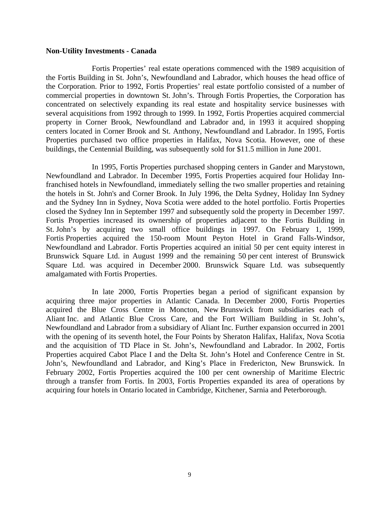#### **Non-Utility Investments - Canada**

 Fortis Properties' real estate operations commenced with the 1989 acquisition of the Fortis Building in St. John's, Newfoundland and Labrador, which houses the head office of the Corporation. Prior to 1992, Fortis Properties' real estate portfolio consisted of a number of commercial properties in downtown St. John's. Through Fortis Properties, the Corporation has concentrated on selectively expanding its real estate and hospitality service businesses with several acquisitions from 1992 through to 1999. In 1992, Fortis Properties acquired commercial property in Corner Brook, Newfoundland and Labrador and, in 1993 it acquired shopping centers located in Corner Brook and St. Anthony, Newfoundland and Labrador. In 1995, Fortis Properties purchased two office properties in Halifax, Nova Scotia. However, one of these buildings, the Centennial Building, was subsequently sold for \$11.5 million in June 2001.

In 1995, Fortis Properties purchased shopping centers in Gander and Marystown, Newfoundland and Labrador. In December 1995, Fortis Properties acquired four Holiday Innfranchised hotels in Newfoundland, immediately selling the two smaller properties and retaining the hotels in St. John's and Corner Brook. In July 1996, the Delta Sydney, Holiday Inn Sydney and the Sydney Inn in Sydney, Nova Scotia were added to the hotel portfolio. Fortis Properties closed the Sydney Inn in September 1997 and subsequently sold the property in December 1997. Fortis Properties increased its ownership of properties adjacent to the Fortis Building in St. John's by acquiring two small office buildings in 1997. On February 1, 1999, Fortis Properties acquired the 150-room Mount Peyton Hotel in Grand Falls-Windsor, Newfoundland and Labrador. Fortis Properties acquired an initial 50 per cent equity interest in Brunswick Square Ltd. in August 1999 and the remaining 50 per cent interest of Brunswick Square Ltd. was acquired in December 2000. Brunswick Square Ltd. was subsequently amalgamated with Fortis Properties.

 In late 2000, Fortis Properties began a period of significant expansion by acquiring three major properties in Atlantic Canada. In December 2000, Fortis Properties acquired the Blue Cross Centre in Moncton, New Brunswick from subsidiaries each of Aliant Inc. and Atlantic Blue Cross Care, and the Fort William Building in St. John's, Newfoundland and Labrador from a subsidiary of Aliant Inc. Further expansion occurred in 2001 with the opening of its seventh hotel, the Four Points by Sheraton Halifax, Halifax, Nova Scotia and the acquisition of TD Place in St. John's, Newfoundland and Labrador. In 2002, Fortis Properties acquired Cabot Place I and the Delta St. John's Hotel and Conference Centre in St. John's, Newfoundland and Labrador, and King's Place in Fredericton, New Brunswick. In February 2002, Fortis Properties acquired the 100 per cent ownership of Maritime Electric through a transfer from Fortis. In 2003, Fortis Properties expanded its area of operations by acquiring four hotels in Ontario located in Cambridge, Kitchener, Sarnia and Peterborough.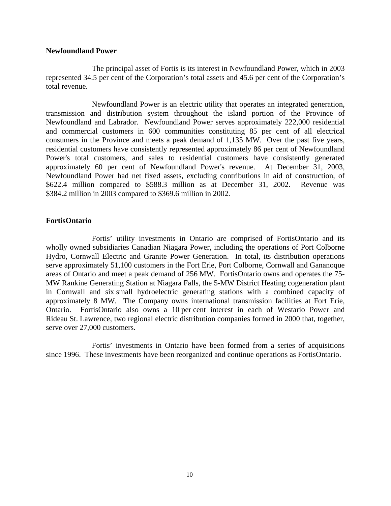#### **Newfoundland Power**

The principal asset of Fortis is its interest in Newfoundland Power, which in 2003 represented 34.5 per cent of the Corporation's total assets and 45.6 per cent of the Corporation's total revenue.

 Newfoundland Power is an electric utility that operates an integrated generation, transmission and distribution system throughout the island portion of the Province of Newfoundland and Labrador. Newfoundland Power serves approximately 222,000 residential and commercial customers in 600 communities constituting 85 per cent of all electrical consumers in the Province and meets a peak demand of 1,135 MW. Over the past five years, residential customers have consistently represented approximately 86 per cent of Newfoundland Power's total customers, and sales to residential customers have consistently generated approximately 60 per cent of Newfoundland Power's revenue. At December 31, 2003, Newfoundland Power had net fixed assets, excluding contributions in aid of construction, of \$622.4 million compared to \$588.3 million as at December 31, 2002. Revenue was \$384.2 million in 2003 compared to \$369.6 million in 2002.

# **FortisOntario**

Fortis' utility investments in Ontario are comprised of FortisOntario and its wholly owned subsidiaries Canadian Niagara Power, including the operations of Port Colborne Hydro, Cornwall Electric and Granite Power Generation. In total, its distribution operations serve approximately 51,100 customers in the Fort Erie, Port Colborne, Cornwall and Gananoque areas of Ontario and meet a peak demand of 256 MW. FortisOntario owns and operates the 75- MW Rankine Generating Station at Niagara Falls, the 5-MW District Heating cogeneration plant in Cornwall and six small hydroelectric generating stations with a combined capacity of approximately 8 MW. The Company owns international transmission facilities at Fort Erie, Ontario. FortisOntario also owns a 10 per cent interest in each of Westario Power and Rideau St. Lawrence, two regional electric distribution companies formed in 2000 that, together, serve over 27,000 customers.

Fortis' investments in Ontario have been formed from a series of acquisitions since 1996. These investments have been reorganized and continue operations as FortisOntario.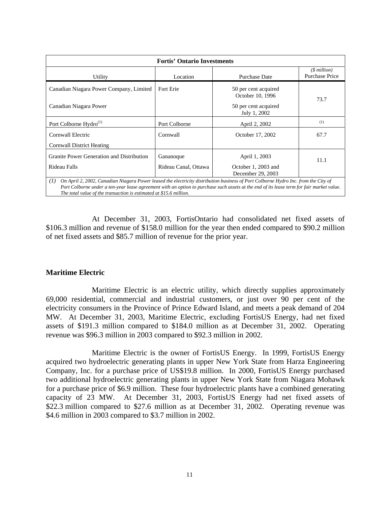| <b>Fortis' Ontario Investments</b>                                                                                                        |                      |                                          |                                 |  |
|-------------------------------------------------------------------------------------------------------------------------------------------|----------------------|------------------------------------------|---------------------------------|--|
| Utility                                                                                                                                   | Location             | <b>Purchase Date</b>                     | $(S$ million)<br>Purchase Price |  |
| Canadian Niagara Power Company, Limited                                                                                                   | Fort Erie            | 50 per cent acquired<br>October 10, 1996 | 73.7                            |  |
| Canadian Niagara Power                                                                                                                    |                      | 50 per cent acquired<br>July 1, 2002     |                                 |  |
| Port Colborne Hydro <sup>(1)</sup>                                                                                                        | Port Colborne        | April 2, 2002                            | (1)                             |  |
| Cornwall Electric                                                                                                                         | Cornwall             | October 17, 2002                         | 67.7                            |  |
| Cornwall District Heating                                                                                                                 |                      |                                          |                                 |  |
| Granite Power Generation and Distribution                                                                                                 | Gananoque            | April 1, 2003                            | 11.1                            |  |
| Rideau Falls                                                                                                                              | Rideau Canal, Ottawa | October 1, 2003 and<br>December 29, 2003 |                                 |  |
| On April 2, 2002, Canadian Niagara Power leased the electricity distribution business of Port Colborne Hydro Inc. from the City of<br>(I) |                      |                                          |                                 |  |

*Port Colborne under a ten-year lease agreement with an option to purchase such assets at the end of its lease term for fair market value. The total value of the transaction is estimated at \$15.6 million.*

At December 31, 2003, FortisOntario had consolidated net fixed assets of \$106.3 million and revenue of \$158.0 million for the year then ended compared to \$90.2 million of net fixed assets and \$85.7 million of revenue for the prior year.

# **Maritime Electric**

Maritime Electric is an electric utility, which directly supplies approximately 69,000 residential, commercial and industrial customers, or just over 90 per cent of the electricity consumers in the Province of Prince Edward Island, and meets a peak demand of 204 MW. At December 31, 2003, Maritime Electric, excluding FortisUS Energy, had net fixed assets of \$191.3 million compared to \$184.0 million as at December 31, 2002. Operating revenue was \$96.3 million in 2003 compared to \$92.3 million in 2002.

Maritime Electric is the owner of FortisUS Energy. In 1999, FortisUS Energy acquired two hydroelectric generating plants in upper New York State from Harza Engineering Company, Inc. for a purchase price of US\$19.8 million. In 2000, FortisUS Energy purchased two additional hydroelectric generating plants in upper New York State from Niagara Mohawk for a purchase price of \$6.9 million. These four hydroelectric plants have a combined generating capacity of 23 MW. At December 31, 2003, FortisUS Energy had net fixed assets of \$22.3 million compared to \$27.6 million as at December 31, 2002. Operating revenue was \$4.6 million in 2003 compared to \$3.7 million in 2002.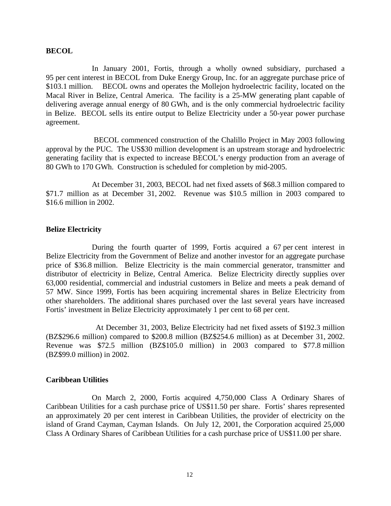#### **BECOL**

 In January 2001, Fortis, through a wholly owned subsidiary, purchased a 95 per cent interest in BECOL from Duke Energy Group, Inc. for an aggregate purchase price of \$103.1 million. BECOL owns and operates the Mollejon hydroelectric facility, located on the Macal River in Belize, Central America. The facility is a 25-MW generating plant capable of delivering average annual energy of 80 GWh, and is the only commercial hydroelectric facility in Belize. BECOL sells its entire output to Belize Electricity under a 50-year power purchase agreement.

 BECOL commenced construction of the Chalillo Project in May 2003 following approval by the PUC. The US\$30 million development is an upstream storage and hydroelectric generating facility that is expected to increase BECOL's energy production from an average of 80 GWh to 170 GWh. Construction is scheduled for completion by mid-2005.

 At December 31, 2003, BECOL had net fixed assets of \$68.3 million compared to \$71.7 million as at December 31, 2002. Revenue was \$10.5 million in 2003 compared to \$16.6 million in 2002.

#### **Belize Electricity**

 During the fourth quarter of 1999, Fortis acquired a 67 per cent interest in Belize Electricity from the Government of Belize and another investor for an aggregate purchase price of \$36.8 million. Belize Electricity is the main commercial generator, transmitter and distributor of electricity in Belize, Central America. Belize Electricity directly supplies over 63,000 residential, commercial and industrial customers in Belize and meets a peak demand of 57 MW. Since 1999, Fortis has been acquiring incremental shares in Belize Electricity from other shareholders. The additional shares purchased over the last several years have increased Fortis' investment in Belize Electricity approximately 1 per cent to 68 per cent.

 At December 31, 2003, Belize Electricity had net fixed assets of \$192.3 million (BZ\$296.6 million) compared to \$200.8 million (BZ\$254.6 million) as at December 31, 2002. Revenue was \$72.5 million (BZ\$105.0 million) in 2003 compared to \$77.8 million (BZ\$99.0 million) in 2002.

#### **Caribbean Utilities**

On March 2, 2000, Fortis acquired 4,750,000 Class A Ordinary Shares of Caribbean Utilities for a cash purchase price of US\$11.50 per share. Fortis' shares represented an approximately 20 per cent interest in Caribbean Utilities, the provider of electricity on the island of Grand Cayman, Cayman Islands. On July 12, 2001, the Corporation acquired 25,000 Class A Ordinary Shares of Caribbean Utilities for a cash purchase price of US\$11.00 per share.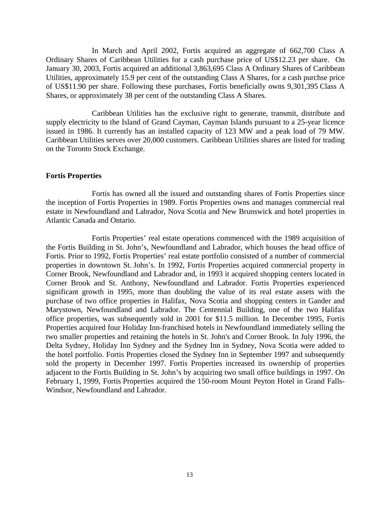In March and April 2002, Fortis acquired an aggregate of 662,700 Class A Ordinary Shares of Caribbean Utilities for a cash purchase price of US\$12.23 per share. On January 30, 2003, Fortis acquired an additional 3,863,695 Class A Ordinary Shares of Caribbean Utilities, approximately 15.9 per cent of the outstanding Class A Shares, for a cash purchse price of US\$11.90 per share. Following these purchases, Fortis beneficially owns 9,301,395 Class A Shares, or approximately 38 per cent of the outstanding Class A Shares.

Caribbean Utilities has the exclusive right to generate, transmit, distribute and supply electricity to the Island of Grand Cayman, Cayman Islands pursuant to a 25-year licence issued in 1986. It currently has an installed capacity of 123 MW and a peak load of 79 MW. Caribbean Utilities serves over 20,000 customers. Caribbean Utilities shares are listed for trading on the Toronto Stock Exchange.

#### **Fortis Properties**

Fortis has owned all the issued and outstanding shares of Fortis Properties since the inception of Fortis Properties in 1989. Fortis Properties owns and manages commercial real estate in Newfoundland and Labrador, Nova Scotia and New Brunswick and hotel properties in Atlantic Canada and Ontario.

Fortis Properties' real estate operations commenced with the 1989 acquisition of the Fortis Building in St. John's, Newfoundland and Labrador, which houses the head office of Fortis. Prior to 1992, Fortis Properties' real estate portfolio consisted of a number of commercial properties in downtown St. John's. In 1992, Fortis Properties acquired commercial property in Corner Brook, Newfoundland and Labrador and, in 1993 it acquired shopping centers located in Corner Brook and St. Anthony, Newfoundland and Labrador. Fortis Properties experienced significant growth in 1995, more than doubling the value of its real estate assets with the purchase of two office properties in Halifax, Nova Scotia and shopping centers in Gander and Marystown, Newfoundland and Labrador. The Centennial Building, one of the two Halifax office properties, was subsequently sold in 2001 for \$11.5 million. In December 1995, Fortis Properties acquired four Holiday Inn-franchised hotels in Newfoundland immediately selling the two smaller properties and retaining the hotels in St. John's and Corner Brook. In July 1996, the Delta Sydney, Holiday Inn Sydney and the Sydney Inn in Sydney, Nova Scotia were added to the hotel portfolio. Fortis Properties closed the Sydney Inn in September 1997 and subsequently sold the property in December 1997. Fortis Properties increased its ownership of properties adjacent to the Fortis Building in St. John's by acquiring two small office buildings in 1997. On February 1, 1999, Fortis Properties acquired the 150-room Mount Peyton Hotel in Grand Falls-Windsor, Newfoundland and Labrador.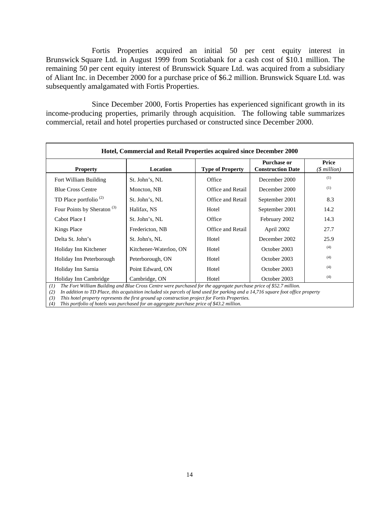Fortis Properties acquired an initial 50 per cent equity interest in Brunswick Square Ltd. in August 1999 from Scotiabank for a cash cost of \$10.1 million. The remaining 50 per cent equity interest of Brunswick Square Ltd. was acquired from a subsidiary of Aliant Inc. in December 2000 for a purchase price of \$6.2 million. Brunswick Square Ltd. was subsequently amalgamated with Fortis Properties.

Since December 2000, Fortis Properties has experienced significant growth in its income-producing properties, primarily through acquisition. The following table summarizes commercial, retail and hotel properties purchased or constructed since December 2000.

| Hotel, Commercial and Retail Properties acquired since December 2000 |                        |                         |                                                |                           |
|----------------------------------------------------------------------|------------------------|-------------------------|------------------------------------------------|---------------------------|
| <b>Property</b>                                                      | Location               | <b>Type of Property</b> | <b>Purchase or</b><br><b>Construction Date</b> | Price<br>$($$ million $)$ |
| Fort William Building                                                | St. John's, NL         | Office                  | December 2000                                  | (1)                       |
| <b>Blue Cross Centre</b>                                             | Moncton, NB            | Office and Retail       | December 2000                                  | (1)                       |
| TD Place portfolio <sup><math>(2)</math></sup>                       | St. John's, NL         | Office and Retail       | September 2001                                 | 8.3                       |
| Four Points by Sheraton <sup>(3)</sup>                               | Halifax, NS            | Hotel                   | September 2001                                 | 14.2                      |
| Cabot Place I                                                        | St. John's, NL         | Office                  | February 2002                                  | 14.3                      |
| <b>Kings Place</b>                                                   | Fredericton, NB        | Office and Retail       | April 2002                                     | 27.7                      |
| Delta St. John's                                                     | St. John's, NL         | Hotel                   | December 2002                                  | 25.9                      |
| Holiday Inn Kitchener                                                | Kitchener-Waterloo, ON | Hotel                   | October 2003                                   | (4)                       |
| Holiday Inn Peterborough                                             | Peterborough, ON       | Hotel                   | October 2003                                   | (4)                       |
| Holiday Inn Sarnia                                                   | Point Edward, ON       | Hotel                   | October 2003                                   | (4)                       |
| Holiday Inn Cambridge                                                | Cambridge, ON          | Hotel                   | October 2003                                   | (4)                       |

*(1) The Fort William Building and Blue Cross Centre were purchased for the aggregate purchase price of \$52.7 million.* 

*(2) In addition to TD Place, this acquisition included six parcels of land used for parking and a 14,716 square foot office property* 

*(3) This hotel property represents the first ground up construction project for Fortis Properties.* 

*(4) This portfolio of hotels was purchased for an aggregate purchase price of \$43.2 million.*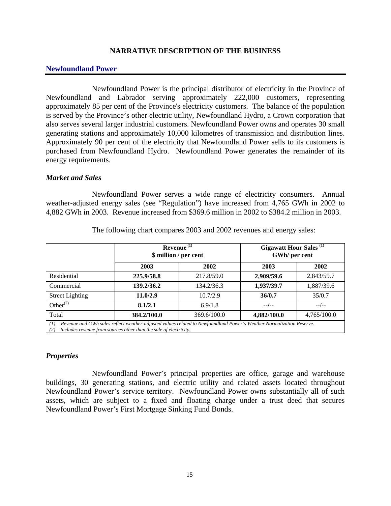# **NARRATIVE DESCRIPTION OF THE BUSINESS**

#### **Newfoundland Power**

 Newfoundland Power is the principal distributor of electricity in the Province of Newfoundland and Labrador serving approximately 222,000 customers, representing approximately 85 per cent of the Province's electricity customers. The balance of the population is served by the Province's other electric utility, Newfoundland Hydro, a Crown corporation that also serves several larger industrial customers. Newfoundland Power owns and operates 30 small generating stations and approximately 10,000 kilometres of transmission and distribution lines. Approximately 90 per cent of the electricity that Newfoundland Power sells to its customers is purchased from Newfoundland Hydro. Newfoundland Power generates the remainder of its energy requirements.

#### *Market and Sales*

Newfoundland Power serves a wide range of electricity consumers. Annual weather-adjusted energy sales (see "Regulation") have increased from 4,765 GWh in 2002 to 4,882 GWh in 2003. Revenue increased from \$369.6 million in 2002 to \$384.2 million in 2003.

|                        | Revenue <sup>(1)</sup><br>\$ million / per cent                                                                     |             | <b>Gigawatt Hour Sales</b> <sup>(1)</sup><br>GWh/ per cent |             |
|------------------------|---------------------------------------------------------------------------------------------------------------------|-------------|------------------------------------------------------------|-------------|
|                        | 2003                                                                                                                | 2002        | 2003                                                       | 2002        |
| Residential            | 225,9/58.8                                                                                                          | 217.8/59.0  | 2,909/59.6                                                 | 2,843/59.7  |
| Commercial             | 139.2/36.2                                                                                                          | 134.2/36.3  | 1,937/39.7                                                 | 1,887/39.6  |
| <b>Street Lighting</b> | 11.0/2.9                                                                                                            | 10.7/2.9    | 36/0.7                                                     | 35/0.7      |
| Other $^{(2)}$         | 8.1/2.1                                                                                                             | 6.9/1.8     | $-$ /--                                                    | $-$ /--     |
| Total                  | 384.2/100.0                                                                                                         | 369.6/100.0 | 4,882/100.0                                                | 4,765/100.0 |
| (1)                    | Revenue and GWh sales reflect weather-adjusted values related to Newfoundland Power's Weather Normalization Reserve |             |                                                            |             |

The following chart compares 2003 and 2002 revenues and energy sales:

*(1) Revenue and GWh sales reflect weather-adjusted values related to Newfoundland Power's Weather Normalization Reserve. (2) Includes revenue from sources other than the sale of electricity.*

# *Properties*

Newfoundland Power's principal properties are office, garage and warehouse buildings, 30 generating stations, and electric utility and related assets located throughout Newfoundland Power's service territory. Newfoundland Power owns substantially all of such assets, which are subject to a fixed and floating charge under a trust deed that secures Newfoundland Power's First Mortgage Sinking Fund Bonds.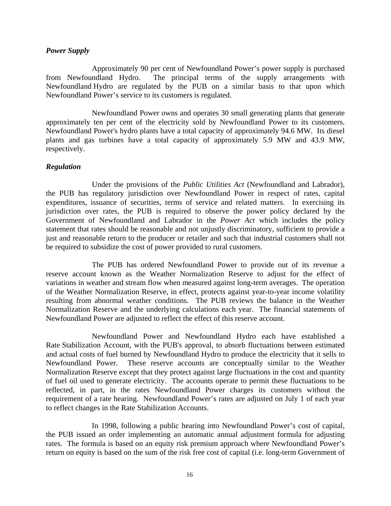#### *Power Supply*

Approximately 90 per cent of Newfoundland Power's power supply is purchased from Newfoundland Hydro. The principal terms of the supply arrangements with Newfoundland Hydro are regulated by the PUB on a similar basis to that upon which Newfoundland Power's service to its customers is regulated.

Newfoundland Power owns and operates 30 small generating plants that generate approximately ten per cent of the electricity sold by Newfoundland Power to its customers. Newfoundland Power's hydro plants have a total capacity of approximately 94.6 MW. Its diesel plants and gas turbines have a total capacity of approximately 5.9 MW and 43.9 MW, respectively.

### *Regulation*

Under the provisions of the *Public Utilities Act* (Newfoundland and Labrador), the PUB has regulatory jurisdiction over Newfoundland Power in respect of rates, capital expenditures, issuance of securities, terms of service and related matters. In exercising its jurisdiction over rates, the PUB is required to observe the power policy declared by the Government of Newfoundland and Labrador in the *Power Act* which includes the policy statement that rates should be reasonable and not unjustly discriminatory, sufficient to provide a just and reasonable return to the producer or retailer and such that industrial customers shall not be required to subsidize the cost of power provided to rural customers.

The PUB has ordered Newfoundland Power to provide out of its revenue a reserve account known as the Weather Normalization Reserve to adjust for the effect of variations in weather and stream flow when measured against long-term averages. The operation of the Weather Normalization Reserve, in effect, protects against year-to-year income volatility resulting from abnormal weather conditions. The PUB reviews the balance in the Weather Normalization Reserve and the underlying calculations each year. The financial statements of Newfoundland Power are adjusted to reflect the effect of this reserve account.

Newfoundland Power and Newfoundland Hydro each have established a Rate Stabilization Account, with the PUB's approval, to absorb fluctuations between estimated and actual costs of fuel burned by Newfoundland Hydro to produce the electricity that it sells to Newfoundland Power. These reserve accounts are conceptually similar to the Weather Normalization Reserve except that they protect against large fluctuations in the cost and quantity of fuel oil used to generate electricity. The accounts operate to permit these fluctuations to be reflected, in part, in the rates Newfoundland Power charges its customers without the requirement of a rate hearing. Newfoundland Power's rates are adjusted on July 1 of each year to reflect changes in the Rate Stabilization Accounts.

In 1998, following a public hearing into Newfoundland Power's cost of capital, the PUB issued an order implementing an automatic annual adjustment formula for adjusting rates. The formula is based on an equity risk premium approach where Newfoundland Power's return on equity is based on the sum of the risk free cost of capital (i.e. long-term Government of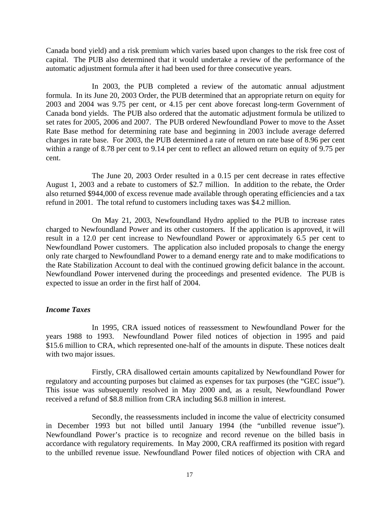Canada bond yield) and a risk premium which varies based upon changes to the risk free cost of capital. The PUB also determined that it would undertake a review of the performance of the automatic adjustment formula after it had been used for three consecutive years.

In 2003, the PUB completed a review of the automatic annual adjustment formula. In its June 20, 2003 Order, the PUB determined that an appropriate return on equity for 2003 and 2004 was 9.75 per cent, or 4.15 per cent above forecast long-term Government of Canada bond yields. The PUB also ordered that the automatic adjustment formula be utilized to set rates for 2005, 2006 and 2007. The PUB ordered Newfoundland Power to move to the Asset Rate Base method for determining rate base and beginning in 2003 include average deferred charges in rate base. For 2003, the PUB determined a rate of return on rate base of 8.96 per cent within a range of 8.78 per cent to 9.14 per cent to reflect an allowed return on equity of 9.75 per cent.

The June 20, 2003 Order resulted in a 0.15 per cent decrease in rates effective August 1, 2003 and a rebate to customers of \$2.7 million. In addition to the rebate, the Order also returned \$944,000 of excess revenue made available through operating efficiencies and a tax refund in 2001. The total refund to customers including taxes was \$4.2 million.

On May 21, 2003, Newfoundland Hydro applied to the PUB to increase rates charged to Newfoundland Power and its other customers. If the application is approved, it will result in a 12.0 per cent increase to Newfoundland Power or approximately 6.5 per cent to Newfoundland Power customers. The application also included proposals to change the energy only rate charged to Newfoundland Power to a demand energy rate and to make modifications to the Rate Stabilization Account to deal with the continued growing deficit balance in the account. Newfoundland Power intervened during the proceedings and presented evidence. The PUB is expected to issue an order in the first half of 2004.

# *Income Taxes*

In 1995, CRA issued notices of reassessment to Newfoundland Power for the years 1988 to 1993. Newfoundland Power filed notices of objection in 1995 and paid \$15.6 million to CRA, which represented one-half of the amounts in dispute. These notices dealt with two major issues.

Firstly, CRA disallowed certain amounts capitalized by Newfoundland Power for regulatory and accounting purposes but claimed as expenses for tax purposes (the "GEC issue"). This issue was subsequently resolved in May 2000 and, as a result, Newfoundland Power received a refund of \$8.8 million from CRA including \$6.8 million in interest.

Secondly, the reassessments included in income the value of electricity consumed in December 1993 but not billed until January 1994 (the "unbilled revenue issue"). Newfoundland Power's practice is to recognize and record revenue on the billed basis in accordance with regulatory requirements. In May 2000, CRA reaffirmed its position with regard to the unbilled revenue issue. Newfoundland Power filed notices of objection with CRA and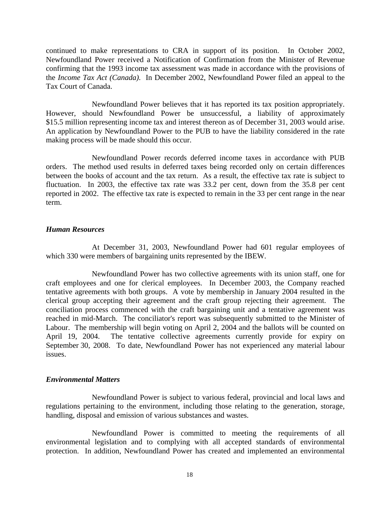continued to make representations to CRA in support of its position. In October 2002, Newfoundland Power received a Notification of Confirmation from the Minister of Revenue confirming that the 1993 income tax assessment was made in accordance with the provisions of the *Income Tax Act (Canada)*. In December 2002, Newfoundland Power filed an appeal to the Tax Court of Canada.

Newfoundland Power believes that it has reported its tax position appropriately. However, should Newfoundland Power be unsuccessful, a liability of approximately \$15.5 million representing income tax and interest thereon as of December 31, 2003 would arise. An application by Newfoundland Power to the PUB to have the liability considered in the rate making process will be made should this occur.

Newfoundland Power records deferred income taxes in accordance with PUB orders. The method used results in deferred taxes being recorded only on certain differences between the books of account and the tax return. As a result, the effective tax rate is subject to fluctuation. In 2003, the effective tax rate was 33.2 per cent, down from the 35.8 per cent reported in 2002. The effective tax rate is expected to remain in the 33 per cent range in the near term.

### *Human Resources*

At December 31, 2003, Newfoundland Power had 601 regular employees of which 330 were members of bargaining units represented by the IBEW.

 Newfoundland Power has two collective agreements with its union staff, one for craft employees and one for clerical employees. In December 2003, the Company reached tentative agreements with both groups. A vote by membership in January 2004 resulted in the clerical group accepting their agreement and the craft group rejecting their agreement. The conciliation process commenced with the craft bargaining unit and a tentative agreement was reached in mid-March. The conciliator's report was subsequently submitted to the Minister of Labour. The membership will begin voting on April 2, 2004 and the ballots will be counted on April 19, 2004. The tentative collective agreements currently provide for expiry on September 30, 2008. To date, Newfoundland Power has not experienced any material labour issues.

# *Environmental Matters*

Newfoundland Power is subject to various federal, provincial and local laws and regulations pertaining to the environment, including those relating to the generation, storage, handling, disposal and emission of various substances and wastes.

Newfoundland Power is committed to meeting the requirements of all environmental legislation and to complying with all accepted standards of environmental protection. In addition, Newfoundland Power has created and implemented an environmental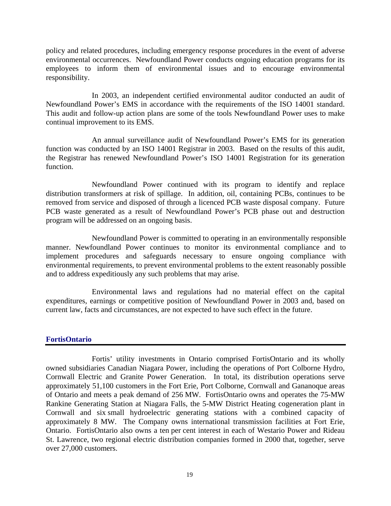policy and related procedures, including emergency response procedures in the event of adverse environmental occurrences. Newfoundland Power conducts ongoing education programs for its employees to inform them of environmental issues and to encourage environmental responsibility.

In 2003, an independent certified environmental auditor conducted an audit of Newfoundland Power's EMS in accordance with the requirements of the ISO 14001 standard. This audit and follow-up action plans are some of the tools Newfoundland Power uses to make continual improvement to its EMS.

An annual surveillance audit of Newfoundland Power's EMS for its generation function was conducted by an ISO 14001 Registrar in 2003. Based on the results of this audit, the Registrar has renewed Newfoundland Power's ISO 14001 Registration for its generation function.

Newfoundland Power continued with its program to identify and replace distribution transformers at risk of spillage. In addition, oil, containing PCBs, continues to be removed from service and disposed of through a licenced PCB waste disposal company. Future PCB waste generated as a result of Newfoundland Power's PCB phase out and destruction program will be addressed on an ongoing basis.

Newfoundland Power is committed to operating in an environmentally responsible manner. Newfoundland Power continues to monitor its environmental compliance and to implement procedures and safeguards necessary to ensure ongoing compliance with environmental requirements, to prevent environmental problems to the extent reasonably possible and to address expeditiously any such problems that may arise.

Environmental laws and regulations had no material effect on the capital expenditures, earnings or competitive position of Newfoundland Power in 2003 and, based on current law, facts and circumstances, are not expected to have such effect in the future.

# **FortisOntario**

Fortis' utility investments in Ontario comprised FortisOntario and its wholly owned subsidiaries Canadian Niagara Power, including the operations of Port Colborne Hydro, Cornwall Electric and Granite Power Generation. In total, its distribution operations serve approximately 51,100 customers in the Fort Erie, Port Colborne, Cornwall and Gananoque areas of Ontario and meets a peak demand of 256 MW. FortisOntario owns and operates the 75-MW Rankine Generating Station at Niagara Falls, the 5-MW District Heating cogeneration plant in Cornwall and six small hydroelectric generating stations with a combined capacity of approximately 8 MW. The Company owns international transmission facilities at Fort Erie, Ontario. FortisOntario also owns a ten per cent interest in each of Westario Power and Rideau St. Lawrence, two regional electric distribution companies formed in 2000 that, together, serve over 27,000 customers.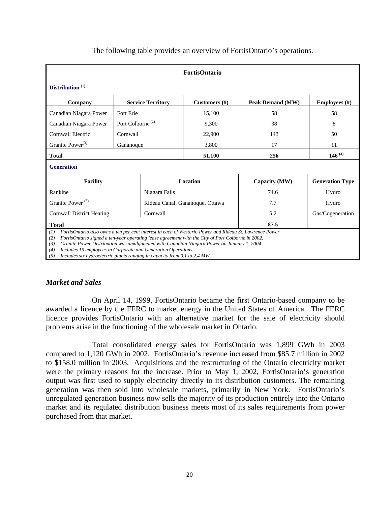| FortisOntario                                                                                                                                                                                                                                                                                                                                                                                           |                              |                          |                                 |                         |                      |
|---------------------------------------------------------------------------------------------------------------------------------------------------------------------------------------------------------------------------------------------------------------------------------------------------------------------------------------------------------------------------------------------------------|------------------------------|--------------------------|---------------------------------|-------------------------|----------------------|
| Distribution <sup>(1)</sup>                                                                                                                                                                                                                                                                                                                                                                             |                              |                          |                                 |                         |                      |
| Company                                                                                                                                                                                                                                                                                                                                                                                                 |                              | <b>Service Territory</b> | Customers $(\#)$                | <b>Peak Demand (MW)</b> | <b>Employees</b> (#) |
| Canadian Niagara Power                                                                                                                                                                                                                                                                                                                                                                                  | Fort Erie                    |                          | 15,100                          | 58                      | 58                   |
| Canadian Niagara Power                                                                                                                                                                                                                                                                                                                                                                                  | Port Colborne <sup>(2)</sup> |                          | 9,300                           | 38                      | 8                    |
| Cornwall Electric                                                                                                                                                                                                                                                                                                                                                                                       | Cornwall                     |                          | 22,900                          | 143                     | 50                   |
| Granite Power <sup>(3)</sup>                                                                                                                                                                                                                                                                                                                                                                            | Gananoque                    |                          | 3,800                           | 17                      | 11                   |
| 256<br>51,100<br><b>Total</b>                                                                                                                                                                                                                                                                                                                                                                           |                              |                          | 146 $(4)$                       |                         |                      |
| <b>Generation</b>                                                                                                                                                                                                                                                                                                                                                                                       |                              |                          |                                 |                         |                      |
| Location<br><b>Facility</b><br>Capacity (MW)<br><b>Generation Type</b>                                                                                                                                                                                                                                                                                                                                  |                              |                          |                                 |                         |                      |
| Rankine                                                                                                                                                                                                                                                                                                                                                                                                 |                              | Niagara Falls            |                                 | 74.6                    | Hydro                |
| Granite Power <sup>(5)</sup>                                                                                                                                                                                                                                                                                                                                                                            |                              |                          | Rideau Canal, Gananoque, Ottawa | 7.7                     | Hydro                |
| <b>Cornwall District Heating</b><br>Cornwall                                                                                                                                                                                                                                                                                                                                                            |                              |                          |                                 | 5.2                     | Gas/Cogeneration     |
| 87.5<br><b>Total</b>                                                                                                                                                                                                                                                                                                                                                                                    |                              |                          |                                 |                         |                      |
| FortisOntario also owns a ten per cent interest in each of Westario Power and Rideau St. Lawrence Power.<br>(1)<br>FortisOntario signed a ten-year operating lease agreement with the City of Port Colborne in 2002.<br>(2)<br>Granite Power Distribution was amalgamated with Canadian Niagara Power on January 1, 2004.<br>(3)<br>(1)<br>Includes 10 employees in Corporate and Congration Operations |                              |                          |                                 |                         |                      |

The following table provides an overview of FortisOntario's operations.

*(4) Includes 19 employees in Corporate and Generation Operations.* 

*(5) Includes six hydroelectric plants ranging in capacity from 0.1 to 2.4 MW.* 

#### *Market and Sales*

On April 14, 1999, FortisOntario became the first Ontario-based company to be awarded a licence by the FERC to market energy in the United States of America. The FERC licence provides FortisOntario with an alternative market for the sale of electricity should problems arise in the functioning of the wholesale market in Ontario.

Total consolidated energy sales for FortisOntario was 1,899 GWh in 2003 compared to 1,120 GWh in 2002. FortisOntario's revenue increased from \$85.7 million in 2002 to \$158.0 million in 2003. Acquisitions and the restructuring of the Ontario electricity market were the primary reasons for the increase. Prior to May 1, 2002, FortisOntario's generation output was first used to supply electricity directly to its distribution customers. The remaining generation was then sold into wholesale markets, primarily in New York. FortisOntario's unregulated generation business now sells the majority of its production entirely into the Ontario market and its regulated distribution business meets most of its sales requirements from power purchased from that market.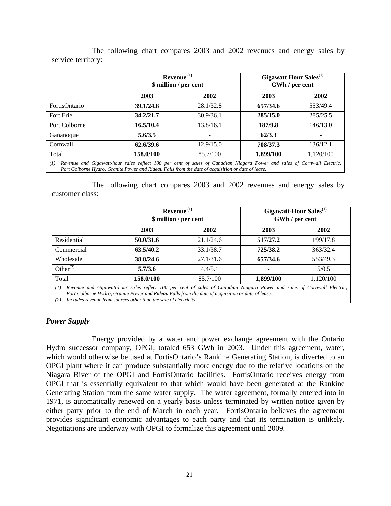|                                                                                                                                                                                                                                      | Revenue $(1)$<br>\$ million / per cent |           | Gigawatt Hour Sales <sup>(1)</sup><br>GWh / per cent |           |
|--------------------------------------------------------------------------------------------------------------------------------------------------------------------------------------------------------------------------------------|----------------------------------------|-----------|------------------------------------------------------|-----------|
|                                                                                                                                                                                                                                      | 2003                                   | 2002      | 2003                                                 | 2002      |
| <b>FortisOntario</b>                                                                                                                                                                                                                 | 39.1/24.8                              | 28.1/32.8 | 657/34.6                                             | 553/49.4  |
| Fort Erie                                                                                                                                                                                                                            | 34.2/21.7                              | 30.9/36.1 | 285/15.0                                             | 285/25.5  |
| Port Colborne                                                                                                                                                                                                                        | 16.5/10.4                              | 13.8/16.1 | 187/9.8                                              | 146/13.0  |
| Gananoque                                                                                                                                                                                                                            | 5.6/3.5                                |           | 62/3.3                                               |           |
| Cornwall                                                                                                                                                                                                                             | 62.6/39.6                              | 12.9/15.0 | 708/37.3                                             | 136/12.1  |
| Total                                                                                                                                                                                                                                | 158.0/100                              | 85.7/100  | 1,899/100                                            | 1,120/100 |
| Revenue and Gigawatt-hour sales reflect 100 per cent of sales of Canadian Niagara Power and sales of Cornwall Electric,<br>(I)<br>Port Colborne Hydro, Granite Power and Rideau Falls from the date of acquisition or date of lease. |                                        |           |                                                      |           |

The following chart compares 2003 and 2002 revenues and energy sales by service territory:

The following chart compares 2003 and 2002 revenues and energy sales by customer class:

|                | Revenue <sup>(1)</sup><br>\$ million / per cent |           |           | Gigawatt-Hour Sales <sup>(1)</sup><br>GWh / per cent |
|----------------|-------------------------------------------------|-----------|-----------|------------------------------------------------------|
|                | 2003                                            | 2002      | 2003      | 2002                                                 |
| Residential    | 50.0/31.6                                       | 21.1/24.6 | 517/27.2  | 199/17.8                                             |
| Commercial     | 63.5/40.2                                       | 33.1/38.7 | 725/38.2  | 363/32.4                                             |
| Wholesale      | 38.8/24.6                                       | 27.1/31.6 | 657/34.6  | 553/49.3                                             |
| Other $^{(2)}$ | 5.7/3.6                                         | 4.4/5.1   | ۰         | 5/0.5                                                |
| Total          | 158.0/100                                       | 85.7/100  | 1,899/100 | 1,120/100                                            |

*(1) Revenue and Gigawatt-hour sales reflect 100 per cent of sales of Canadian Niagara Power and sales of Cornwall Electric, Port Colborne Hydro, Granite Power and Rideau Falls from the date of acquisition or date of lease.* 

*(2) Includes revenue from sources other than the sale of electricity.* 

# *Power Supply*

Energy provided by a water and power exchange agreement with the Ontario Hydro successor company, OPGI, totaled 653 GWh in 2003. Under this agreement, water, which would otherwise be used at FortisOntario's Rankine Generating Station, is diverted to an OPGI plant where it can produce substantially more energy due to the relative locations on the Niagara River of the OPGI and FortisOntario facilities. FortisOntario receives energy from OPGI that is essentially equivalent to that which would have been generated at the Rankine Generating Station from the same water supply. The water agreement, formally entered into in 1971, is automatically renewed on a yearly basis unless terminated by written notice given by either party prior to the end of March in each year. FortisOntario believes the agreement provides significant economic advantages to each party and that its termination is unlikely. Negotiations are underway with OPGI to formalize this agreement until 2009.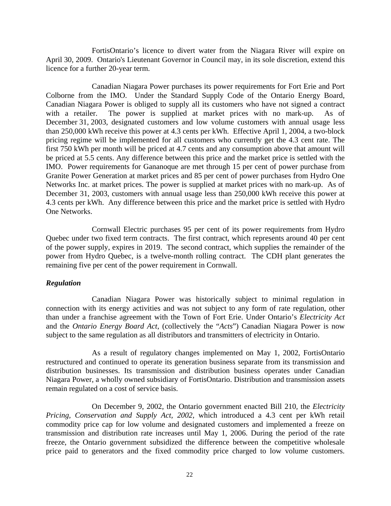FortisOntario's licence to divert water from the Niagara River will expire on April 30, 2009. Ontario's Lieutenant Governor in Council may, in its sole discretion, extend this licence for a further 20-year term.

Canadian Niagara Power purchases its power requirements for Fort Erie and Port Colborne from the IMO. Under the Standard Supply Code of the Ontario Energy Board, Canadian Niagara Power is obliged to supply all its customers who have not signed a contract with a retailer. The power is supplied at market prices with no mark-up. As of December 31, 2003, designated customers and low volume customers with annual usage less than 250,000 kWh receive this power at 4.3 cents per kWh. Effective April 1, 2004, a two-block pricing regime will be implemented for all customers who currently get the 4.3 cent rate. The first 750 kWh per month will be priced at 4.7 cents and any consumption above that amount will be priced at 5.5 cents. Any difference between this price and the market price is settled with the IMO. Power requirements for Gananoque are met through 15 per cent of power purchase from Granite Power Generation at market prices and 85 per cent of power purchases from Hydro One Networks Inc. at market prices. The power is supplied at market prices with no mark-up. As of December 31, 2003, customers with annual usage less than 250,000 kWh receive this power at 4.3 cents per kWh. Any difference between this price and the market price is settled with Hydro One Networks.

Cornwall Electric purchases 95 per cent of its power requirements from Hydro Quebec under two fixed term contracts. The first contract, which represents around 40 per cent of the power supply, expires in 2019. The second contract, which supplies the remainder of the power from Hydro Quebec, is a twelve-month rolling contract. The CDH plant generates the remaining five per cent of the power requirement in Cornwall.

#### *Regulation*

Canadian Niagara Power was historically subject to minimal regulation in connection with its energy activities and was not subject to any form of rate regulation, other than under a franchise agreement with the Town of Fort Erie. Under Ontario's *Electricity Act* and the *Ontario Energy Board Act*, (collectively the "*Acts*") Canadian Niagara Power is now subject to the same regulation as all distributors and transmitters of electricity in Ontario.

As a result of regulatory changes implemented on May 1, 2002, FortisOntario restructured and continued to operate its generation business separate from its transmission and distribution businesses. Its transmission and distribution business operates under Canadian Niagara Power, a wholly owned subsidiary of FortisOntario. Distribution and transmission assets remain regulated on a cost of service basis.

On December 9, 2002, the Ontario government enacted Bill 210*,* the *Electricity Pricing, Conservation and Supply Act, 2002,* which introduced a 4.3 cent per kWh retail commodity price cap for low volume and designated customers and implemented a freeze on transmission and distribution rate increases until May 1, 2006. During the period of the rate freeze, the Ontario government subsidized the difference between the competitive wholesale price paid to generators and the fixed commodity price charged to low volume customers.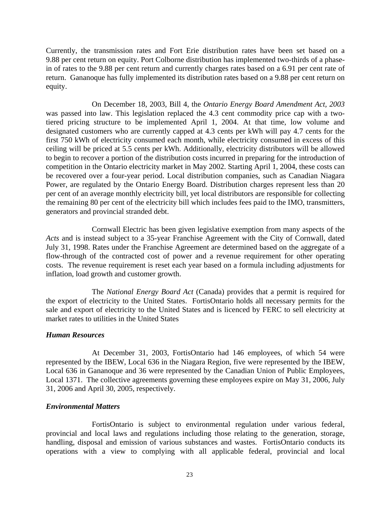Currently, the transmission rates and Fort Erie distribution rates have been set based on a 9.88 per cent return on equity. Port Colborne distribution has implemented two-thirds of a phasein of rates to the 9.88 per cent return and currently charges rates based on a 6.91 per cent rate of return. Gananoque has fully implemented its distribution rates based on a 9.88 per cent return on equity.

On December 18, 2003, Bill 4, the *Ontario Energy Board Amendment Act, 2003*  was passed into law. This legislation replaced the 4.3 cent commodity price cap with a twotiered pricing structure to be implemented April 1, 2004. At that time, low volume and designated customers who are currently capped at 4.3 cents per kWh will pay 4.7 cents for the first 750 kWh of electricity consumed each month, while electricity consumed in excess of this ceiling will be priced at 5.5 cents per kWh. Additionally, electricity distributors will be allowed to begin to recover a portion of the distribution costs incurred in preparing for the introduction of competition in the Ontario electricity market in May 2002. Starting April 1, 2004, these costs can be recovered over a four-year period. Local distribution companies, such as Canadian Niagara Power, are regulated by the Ontario Energy Board. Distribution charges represent less than 20 per cent of an average monthly electricity bill, yet local distributors are responsible for collecting the remaining 80 per cent of the electricity bill which includes fees paid to the IMO, transmitters, generators and provincial stranded debt.

Cornwall Electric has been given legislative exemption from many aspects of the *Acts* and is instead subject to a 35-year Franchise Agreement with the City of Cornwall, dated July 31, 1998. Rates under the Franchise Agreement are determined based on the aggregate of a flow-through of the contracted cost of power and a revenue requirement for other operating costs. The revenue requirement is reset each year based on a formula including adjustments for inflation, load growth and customer growth.

The *National Energy Board Act* (Canada) provides that a permit is required for the export of electricity to the United States. FortisOntario holds all necessary permits for the sale and export of electricity to the United States and is licenced by FERC to sell electricity at market rates to utilities in the United States

# *Human Resources*

At December 31, 2003, FortisOntario had 146 employees, of which 54 were represented by the IBEW, Local 636 in the Niagara Region, five were represented by the IBEW, Local 636 in Gananoque and 36 were represented by the Canadian Union of Public Employees, Local 1371. The collective agreements governing these employees expire on May 31, 2006, July 31, 2006 and April 30, 2005, respectively.

# *Environmental Matters*

FortisOntario is subject to environmental regulation under various federal, provincial and local laws and regulations including those relating to the generation, storage, handling, disposal and emission of various substances and wastes. FortisOntario conducts its operations with a view to complying with all applicable federal, provincial and local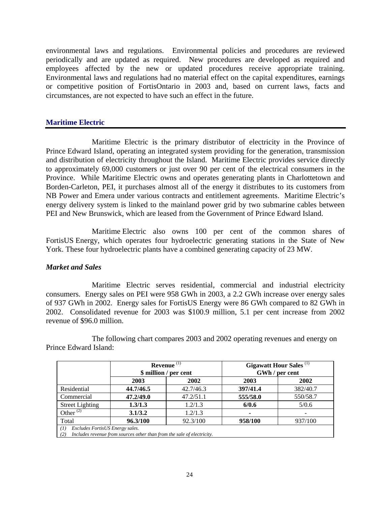environmental laws and regulations. Environmental policies and procedures are reviewed periodically and are updated as required. New procedures are developed as required and employees affected by the new or updated procedures receive appropriate training. Environmental laws and regulations had no material effect on the capital expenditures, earnings or competitive position of FortisOntario in 2003 and, based on current laws, facts and circumstances, are not expected to have such an effect in the future.

# **Maritime Electric**

Maritime Electric is the primary distributor of electricity in the Province of Prince Edward Island, operating an integrated system providing for the generation, transmission and distribution of electricity throughout the Island. Maritime Electric provides service directly to approximately 69,000 customers or just over 90 per cent of the electrical consumers in the Province. While Maritime Electric owns and operates generating plants in Charlottetown and Borden-Carleton, PEI, it purchases almost all of the energy it distributes to its customers from NB Power and Emera under various contracts and entitlement agreements. Maritime Electric's energy delivery system is linked to the mainland power grid by two submarine cables between PEI and New Brunswick, which are leased from the Government of Prince Edward Island.

Maritime Electric also owns 100 per cent of the common shares of FortisUS Energy, which operates four hydroelectric generating stations in the State of New York. These four hydroelectric plants have a combined generating capacity of 23 MW.

# *Market and Sales*

Maritime Electric serves residential, commercial and industrial electricity consumers. Energy sales on PEI were 958 GWh in 2003, a 2.2 GWh increase over energy sales of 937 GWh in 2002. Energy sales for FortisUS Energy were 86 GWh compared to 82 GWh in 2002. Consolidated revenue for 2003 was \$100.9 million, 5.1 per cent increase from 2002 revenue of \$96.0 million.

The following chart compares 2003 and 2002 operating revenues and energy on Prince Edward Island:

|                                                                                                                         | Revenue $(1)$<br>\$ million / per cent |           | <b>Gigawatt Hour Sales</b> <sup>(1)</sup> | GWh / per cent |
|-------------------------------------------------------------------------------------------------------------------------|----------------------------------------|-----------|-------------------------------------------|----------------|
|                                                                                                                         | 2003                                   | 2002      | 2003                                      | 2002           |
| Residential                                                                                                             | 44.7/46.5                              | 42.7/46.3 | 397/41.4                                  | 382/40.7       |
| Commercial                                                                                                              | 47.2/49.0                              | 47.2/51.1 | 555/58.0                                  | 550/58.7       |
| <b>Street Lighting</b>                                                                                                  | 1.3/1.3                                | 1.2/1.3   | 6/0.6                                     | 5/0.6          |
| Other $^{(2)}$                                                                                                          | 3.1/3.2                                | 1.2/1.3   | ۰                                         |                |
| Total                                                                                                                   | 96.3/100                               | 92.3/100  | 958/100                                   | 937/100        |
| Excludes FortisUS Energy sales.<br>(1)<br>Includes revenue from sources other than from the sale of electricity.<br>(2) |                                        |           |                                           |                |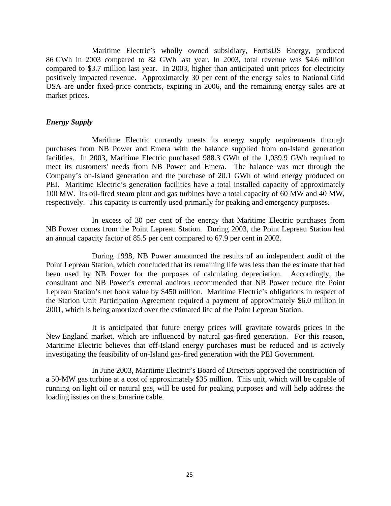Maritime Electric's wholly owned subsidiary, FortisUS Energy, produced 86 GWh in 2003 compared to 82 GWh last year. In 2003, total revenue was \$4.6 million compared to \$3.7 million last year. In 2003, higher than anticipated unit prices for electricity positively impacted revenue. Approximately 30 per cent of the energy sales to National Grid USA are under fixed-price contracts, expiring in 2006, and the remaining energy sales are at market prices.

#### *Energy Supply*

Maritime Electric currently meets its energy supply requirements through purchases from NB Power and Emera with the balance supplied from on-Island generation facilities. In 2003, Maritime Electric purchased 988.3 GWh of the 1,039.9 GWh required to meet its customers' needs from NB Power and Emera. The balance was met through the Company's on-Island generation and the purchase of 20.1 GWh of wind energy produced on PEI. Maritime Electric's generation facilities have a total installed capacity of approximately 100 MW. Its oil-fired steam plant and gas turbines have a total capacity of 60 MW and 40 MW, respectively. This capacity is currently used primarily for peaking and emergency purposes.

In excess of 30 per cent of the energy that Maritime Electric purchases from NB Power comes from the Point Lepreau Station. During 2003, the Point Lepreau Station had an annual capacity factor of 85.5 per cent compared to 67.9 per cent in 2002.

During 1998, NB Power announced the results of an independent audit of the Point Lepreau Station, which concluded that its remaining life was less than the estimate that had been used by NB Power for the purposes of calculating depreciation. Accordingly, the consultant and NB Power's external auditors recommended that NB Power reduce the Point Lepreau Station's net book value by \$450 million. Maritime Electric's obligations in respect of the Station Unit Participation Agreement required a payment of approximately \$6.0 million in 2001, which is being amortized over the estimated life of the Point Lepreau Station.

It is anticipated that future energy prices will gravitate towards prices in the New England market, which are influenced by natural gas-fired generation. For this reason, Maritime Electric believes that off-Island energy purchases must be reduced and is actively investigating the feasibility of on-Island gas-fired generation with the PEI Government.

In June 2003, Maritime Electric's Board of Directors approved the construction of a 50-MW gas turbine at a cost of approximately \$35 million. This unit, which will be capable of running on light oil or natural gas, will be used for peaking purposes and will help address the loading issues on the submarine cable.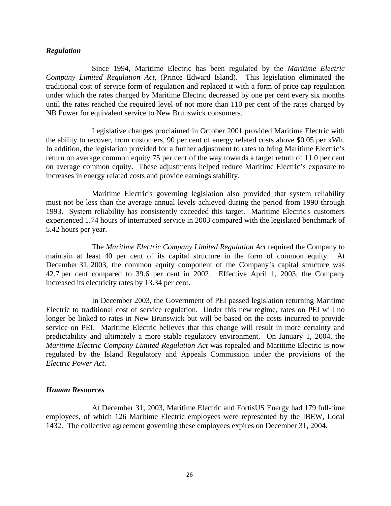#### *Regulation*

Since 1994, Maritime Electric has been regulated by the *Maritime Electric Company Limited Regulation Act*, (Prince Edward Island). This legislation eliminated the traditional cost of service form of regulation and replaced it with a form of price cap regulation under which the rates charged by Maritime Electric decreased by one per cent every six months until the rates reached the required level of not more than 110 per cent of the rates charged by NB Power for equivalent service to New Brunswick consumers.

Legislative changes proclaimed in October 2001 provided Maritime Electric with the ability to recover, from customers, 90 per cent of energy related costs above \$0.05 per kWh. In addition, the legislation provided for a further adjustment to rates to bring Maritime Electric's return on average common equity 75 per cent of the way towards a target return of 11.0 per cent on average common equity. These adjustments helped reduce Maritime Electric's exposure to increases in energy related costs and provide earnings stability.

Maritime Electric's governing legislation also provided that system reliability must not be less than the average annual levels achieved during the period from 1990 through 1993. System reliability has consistently exceeded this target. Maritime Electric's customers experienced 1.74 hours of interrupted service in 2003 compared with the legislated benchmark of 5.42 hours per year.

The *Maritime Electric Company Limited Regulation Act* required the Company to maintain at least 40 per cent of its capital structure in the form of common equity. At December 31, 2003, the common equity component of the Company's capital structure was 42.7 per cent compared to 39.6 per cent in 2002. Effective April 1, 2003, the Company increased its electricity rates by 13.34 per cent.

In December 2003, the Government of PEI passed legislation returning Maritime Electric to traditional cost of service regulation. Under this new regime, rates on PEI will no longer be linked to rates in New Brunswick but will be based on the costs incurred to provide service on PEI. Maritime Electric believes that this change will result in more certainty and predictability and ultimately a more stable regulatory environment. On January 1, 2004, the *Maritime Electric Company Limited Regulation Act* was repealed and Maritime Electric is now regulated by the Island Regulatory and Appeals Commission under the provisions of the *Electric Power Act*.

# *Human Resources*

At December 31, 2003, Maritime Electric and FortisUS Energy had 179 full-time employees, of which 126 Maritime Electric employees were represented by the IBEW, Local 1432. The collective agreement governing these employees expires on December 31, 2004.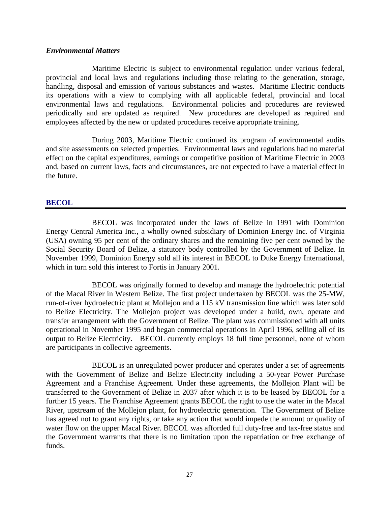### *Environmental Matters*

Maritime Electric is subject to environmental regulation under various federal, provincial and local laws and regulations including those relating to the generation, storage, handling, disposal and emission of various substances and wastes. Maritime Electric conducts its operations with a view to complying with all applicable federal, provincial and local environmental laws and regulations. Environmental policies and procedures are reviewed periodically and are updated as required. New procedures are developed as required and employees affected by the new or updated procedures receive appropriate training.

During 2003, Maritime Electric continued its program of environmental audits and site assessments on selected properties. Environmental laws and regulations had no material effect on the capital expenditures, earnings or competitive position of Maritime Electric in 2003 and, based on current laws, facts and circumstances, are not expected to have a material effect in the future.

# **BECOL**

BECOL was incorporated under the laws of Belize in 1991 with Dominion Energy Central America Inc., a wholly owned subsidiary of Dominion Energy Inc. of Virginia (USA) owning 95 per cent of the ordinary shares and the remaining five per cent owned by the Social Security Board of Belize, a statutory body controlled by the Government of Belize. In November 1999, Dominion Energy sold all its interest in BECOL to Duke Energy International, which in turn sold this interest to Fortis in January 2001.

 BECOL was originally formed to develop and manage the hydroelectric potential of the Macal River in Western Belize. The first project undertaken by BECOL was the 25-MW, run-of-river hydroelectric plant at Mollejon and a 115 kV transmission line which was later sold to Belize Electricity. The Mollejon project was developed under a build, own, operate and transfer arrangement with the Government of Belize. The plant was commissioned with all units operational in November 1995 and began commercial operations in April 1996, selling all of its output to Belize Electricity. BECOL currently employs 18 full time personnel, none of whom are participants in collective agreements.

 BECOL is an unregulated power producer and operates under a set of agreements with the Government of Belize and Belize Electricity including a 50-year Power Purchase Agreement and a Franchise Agreement. Under these agreements, the Mollejon Plant will be transferred to the Government of Belize in 2037 after which it is to be leased by BECOL for a further 15 years. The Franchise Agreement grants BECOL the right to use the water in the Macal River, upstream of the Mollejon plant, for hydroelectric generation. The Government of Belize has agreed not to grant any rights, or take any action that would impede the amount or quality of water flow on the upper Macal River. BECOL was afforded full duty-free and tax-free status and the Government warrants that there is no limitation upon the repatriation or free exchange of funds.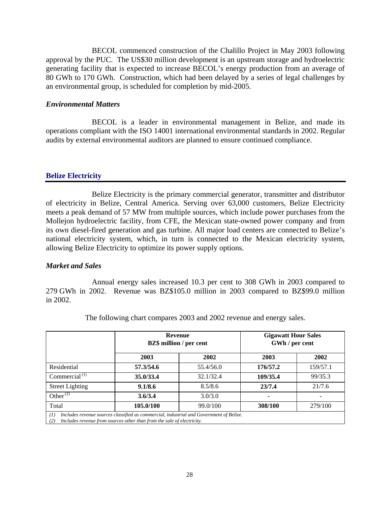BECOL commenced construction of the Chalillo Project in May 2003 following approval by the PUC. The US\$30 million development is an upstream storage and hydroelectric generating facility that is expected to increase BECOL's energy production from an average of 80 GWh to 170 GWh. Construction, which had been delayed by a series of legal challenges by an environmental group, is scheduled for completion by mid-2005.

## *Environmental Matters*

 BECOL is a leader in environmental management in Belize, and made its operations compliant with the ISO 14001 international environmental standards in 2002. Regular audits by external environmental auditors are planned to ensure continued compliance.

# **Belize Electricity**

Belize Electricity is the primary commercial generator, transmitter and distributor of electricity in Belize, Central America. Serving over 63,000 customers, Belize Electricity meets a peak demand of 57 MW from multiple sources, which include power purchases from the Mollejon hydroelectric facility, from CFE, the Mexican state-owned power company and from its own diesel-fired generation and gas turbine. All major load centers are connected to Belize's national electricity system, which, in turn is connected to the Mexican electricity system, allowing Belize Electricity to optimize its power supply options.

#### *Market and Sales*

Annual energy sales increased 10.3 per cent to 308 GWh in 2003 compared to 279 GWh in 2002. Revenue was BZ\$105.0 million in 2003 compared to BZ\$99.0 million in 2002.

|                        | <b>Revenue</b><br><b>BZ\$</b> million / per cent                                                                                                                  |           | <b>Gigawatt Hour Sales</b><br>GWh / per cent |          |
|------------------------|-------------------------------------------------------------------------------------------------------------------------------------------------------------------|-----------|----------------------------------------------|----------|
|                        | 2003                                                                                                                                                              | 2002      | 2003                                         | 2002     |
| Residential            | 57.3/54.6                                                                                                                                                         | 55.4/56.0 | 176/57.2                                     | 159/57.1 |
| Commercial $(1)$       | 35.0/33.4                                                                                                                                                         | 32.1/32.4 | 109/35.4                                     | 99/35.3  |
| <b>Street Lighting</b> | 9.1/8.6                                                                                                                                                           | 8.5/8.6   | 23/7.4                                       | 21/7.6   |
| Other $^{(2)}$         | 3.6/3.4                                                                                                                                                           | 3.0/3.0   | ٠                                            |          |
| Total                  | 105.0/100                                                                                                                                                         | 99.0/100  | 308/100                                      | 279/100  |
| (I)<br>(2)             | Includes revenue sources classified as commercial, industrial and Government of Belize.<br>Includes revenue from sources other than from the sale of electricity. |           |                                              |          |

The following chart compares 2003 and 2002 revenue and energy sales.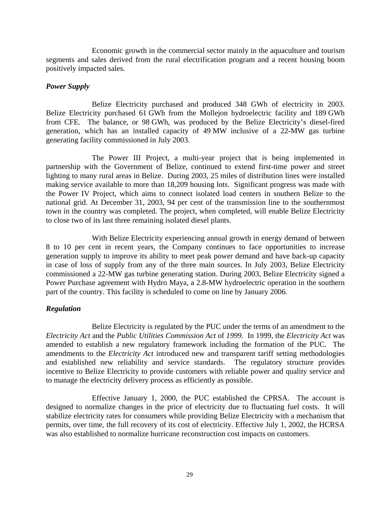Economic growth in the commercial sector mainly in the aquaculture and tourism segments and sales derived from the rural electrification program and a recent housing boom positively impacted sales.

#### *Power Supply*

Belize Electricity purchased and produced 348 GWh of electricity in 2003. Belize Electricity purchased 61 GWh from the Mollejon hydroelectric facility and 189 GWh from CFE. The balance, or 98 GWh, was produced by the Belize Electricity's diesel-fired generation, which has an installed capacity of 49 MW inclusive of a 22-MW gas turbine generating facility commissioned in July 2003.

The Power III Project, a multi-year project that is being implemented in partnership with the Government of Belize, continued to extend first-time power and street lighting to many rural areas in Belize. During 2003, 25 miles of distribution lines were installed making service available to more than 18,209 housing lots. Significant progress was made with the Power IV Project, which aims to connect isolated load centers in southern Belize to the national grid. At December 31, 2003, 94 per cent of the transmission line to the southernmost town in the country was completed. The project, when completed, will enable Belize Electricity to close two of its last three remaining isolated diesel plants.

With Belize Electricity experiencing annual growth in energy demand of between 8 to 10 per cent in recent years, the Company continues to face opportunities to increase generation supply to improve its ability to meet peak power demand and have back-up capacity in case of loss of supply from any of the three main sources. In July 2003, Belize Electricity commissioned a 22-MW gas turbine generating station. During 2003, Belize Electricity signed a Power Purchase agreement with Hydro Maya, a 2.8-MW hydroelectric operation in the southern part of the country. This facility is scheduled to come on line by January 2006.

#### *Regulation*

Belize Electricity is regulated by the PUC under the terms of an amendment to the *Electricity Act* and the *Public Utilities Commission Act* of *1999.* In 1999, the *Electricity Act* was amended to establish a new regulatory framework including the formation of the PUC. The amendments to the *Electricity Act* introduced new and transparent tariff setting methodologies and established new reliability and service standards. The regulatory structure provides incentive to Belize Electricity to provide customers with reliable power and quality service and to manage the electricity delivery process as efficiently as possible.

Effective January 1, 2000, the PUC established the CPRSA. The account is designed to normalize changes in the price of electricity due to fluctuating fuel costs. It will stabilize electricity rates for consumers while providing Belize Electricity with a mechanism that permits, over time, the full recovery of its cost of electricity. Effective July 1, 2002, the HCRSA was also established to normalize hurricane reconstruction cost impacts on customers.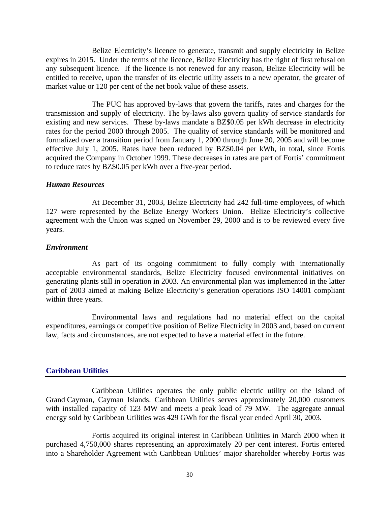Belize Electricity's licence to generate, transmit and supply electricity in Belize expires in 2015. Under the terms of the licence, Belize Electricity has the right of first refusal on any subsequent licence. If the licence is not renewed for any reason, Belize Electricity will be entitled to receive, upon the transfer of its electric utility assets to a new operator, the greater of market value or 120 per cent of the net book value of these assets.

The PUC has approved by-laws that govern the tariffs, rates and charges for the transmission and supply of electricity. The by-laws also govern quality of service standards for existing and new services. These by-laws mandate a BZ\$0.05 per kWh decrease in electricity rates for the period 2000 through 2005. The quality of service standards will be monitored and formalized over a transition period from January 1, 2000 through June 30, 2005 and will become effective July 1, 2005. Rates have been reduced by BZ\$0.04 per kWh, in total, since Fortis acquired the Company in October 1999. These decreases in rates are part of Fortis' commitment to reduce rates by BZ\$0.05 per kWh over a five-year period.

#### *Human Resources*

At December 31, 2003, Belize Electricity had 242 full-time employees, of which 127 were represented by the Belize Energy Workers Union. Belize Electricity's collective agreement with the Union was signed on November 29, 2000 and is to be reviewed every five years.

#### *Environment*

As part of its ongoing commitment to fully comply with internationally acceptable environmental standards, Belize Electricity focused environmental initiatives on generating plants still in operation in 2003. An environmental plan was implemented in the latter part of 2003 aimed at making Belize Electricity's generation operations ISO 14001 compliant within three years.

Environmental laws and regulations had no material effect on the capital expenditures, earnings or competitive position of Belize Electricity in 2003 and, based on current law, facts and circumstances, are not expected to have a material effect in the future.

#### **Caribbean Utilities**

Caribbean Utilities operates the only public electric utility on the Island of Grand Cayman, Cayman Islands. Caribbean Utilities serves approximately 20,000 customers with installed capacity of 123 MW and meets a peak load of 79 MW. The aggregate annual energy sold by Caribbean Utilities was 429 GWh for the fiscal year ended April 30, 2003.

Fortis acquired its original interest in Caribbean Utilities in March 2000 when it purchased 4,750,000 shares representing an approximately 20 per cent interest. Fortis entered into a Shareholder Agreement with Caribbean Utilities' major shareholder whereby Fortis was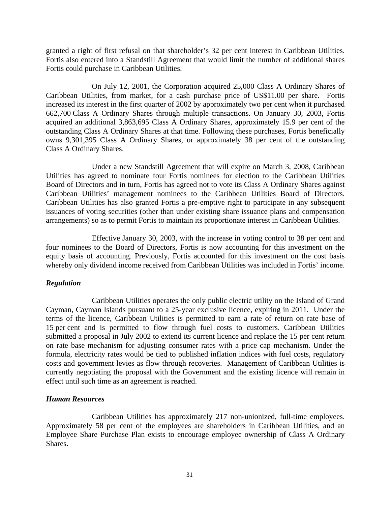granted a right of first refusal on that shareholder's 32 per cent interest in Caribbean Utilities. Fortis also entered into a Standstill Agreement that would limit the number of additional shares Fortis could purchase in Caribbean Utilities.

On July 12, 2001, the Corporation acquired 25,000 Class A Ordinary Shares of Caribbean Utilities, from market, for a cash purchase price of US\$11.00 per share. Fortis increased its interest in the first quarter of 2002 by approximately two per cent when it purchased 662,700 Class A Ordinary Shares through multiple transactions. On January 30, 2003, Fortis acquired an additional 3,863,695 Class A Ordinary Shares, approximately 15.9 per cent of the outstanding Class A Ordinary Shares at that time. Following these purchases, Fortis beneficially owns 9,301,395 Class A Ordinary Shares, or approximately 38 per cent of the outstanding Class A Ordinary Shares.

Under a new Standstill Agreement that will expire on March 3, 2008, Caribbean Utilities has agreed to nominate four Fortis nominees for election to the Caribbean Utilities Board of Directors and in turn, Fortis has agreed not to vote its Class A Ordinary Shares against Caribbean Utilities' management nominees to the Caribbean Utilities Board of Directors. Caribbean Utilities has also granted Fortis a pre-emptive right to participate in any subsequent issuances of voting securities (other than under existing share issuance plans and compensation arrangements) so as to permit Fortis to maintain its proportionate interest in Caribbean Utilities.

Effective January 30, 2003, with the increase in voting control to 38 per cent and four nominees to the Board of Directors, Fortis is now accounting for this investment on the equity basis of accounting. Previously, Fortis accounted for this investment on the cost basis whereby only dividend income received from Caribbean Utilities was included in Fortis' income.

# *Regulation*

Caribbean Utilities operates the only public electric utility on the Island of Grand Cayman, Cayman Islands pursuant to a 25-year exclusive licence, expiring in 2011. Under the terms of the licence, Caribbean Utilities is permitted to earn a rate of return on rate base of 15 per cent and is permitted to flow through fuel costs to customers. Caribbean Utilities submitted a proposal in July 2002 to extend its current licence and replace the 15 per cent return on rate base mechanism for adjusting consumer rates with a price cap mechanism. Under the formula, electricity rates would be tied to published inflation indices with fuel costs, regulatory costs and government levies as flow through recoveries. Management of Caribbean Utilities is currently negotiating the proposal with the Government and the existing licence will remain in effect until such time as an agreement is reached.

# *Human Resources*

Caribbean Utilities has approximately 217 non-unionized, full-time employees. Approximately 58 per cent of the employees are shareholders in Caribbean Utilities, and an Employee Share Purchase Plan exists to encourage employee ownership of Class A Ordinary Shares.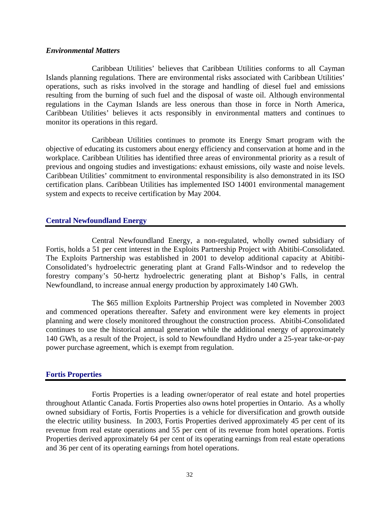#### *Environmental Matters*

Caribbean Utilities' believes that Caribbean Utilities conforms to all Cayman Islands planning regulations. There are environmental risks associated with Caribbean Utilities' operations, such as risks involved in the storage and handling of diesel fuel and emissions resulting from the burning of such fuel and the disposal of waste oil. Although environmental regulations in the Cayman Islands are less onerous than those in force in North America, Caribbean Utilities' believes it acts responsibly in environmental matters and continues to monitor its operations in this regard.

Caribbean Utilities continues to promote its Energy Smart program with the objective of educating its customers about energy efficiency and conservation at home and in the workplace. Caribbean Utilities has identified three areas of environmental priority as a result of previous and ongoing studies and investigations: exhaust emissions, oily waste and noise levels. Caribbean Utilities' commitment to environmental responsibility is also demonstrated in its ISO certification plans. Caribbean Utilities has implemented ISO 14001 environmental management system and expects to receive certification by May 2004.

# **Central Newfoundland Energy**

Central Newfoundland Energy, a non-regulated, wholly owned subsidiary of Fortis, holds a 51 per cent interest in the Exploits Partnership Project with Abitibi-Consolidated. The Exploits Partnership was established in 2001 to develop additional capacity at Abitibi-Consolidated's hydroelectric generating plant at Grand Falls-Windsor and to redevelop the forestry company's 50-hertz hydroelectric generating plant at Bishop's Falls, in central Newfoundland, to increase annual energy production by approximately 140 GWh.

The \$65 million Exploits Partnership Project was completed in November 2003 and commenced operations thereafter. Safety and environment were key elements in project planning and were closely monitored throughout the construction process. Abitibi-Consolidated continues to use the historical annual generation while the additional energy of approximately 140 GWh, as a result of the Project, is sold to Newfoundland Hydro under a 25-year take-or-pay power purchase agreement, which is exempt from regulation.

# **Fortis Properties**

Fortis Properties is a leading owner/operator of real estate and hotel properties throughout Atlantic Canada. Fortis Properties also owns hotel properties in Ontario. As a wholly owned subsidiary of Fortis, Fortis Properties is a vehicle for diversification and growth outside the electric utility business. In 2003, Fortis Properties derived approximately 45 per cent of its revenue from real estate operations and 55 per cent of its revenue from hotel operations. Fortis Properties derived approximately 64 per cent of its operating earnings from real estate operations and 36 per cent of its operating earnings from hotel operations.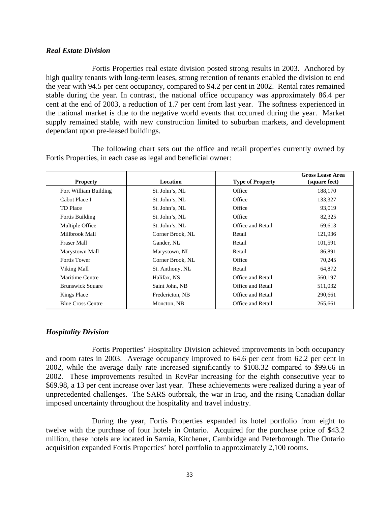## *Real Estate Division*

Fortis Properties real estate division posted strong results in 2003. Anchored by high quality tenants with long-term leases, strong retention of tenants enabled the division to end the year with 94.5 per cent occupancy, compared to 94.2 per cent in 2002. Rental rates remained stable during the year. In contrast, the national office occupancy was approximately 86.4 per cent at the end of 2003, a reduction of 1.7 per cent from last year. The softness experienced in the national market is due to the negative world events that occurred during the year. Market supply remained stable, with new construction limited to suburban markets, and development dependant upon pre-leased buildings.

The following chart sets out the office and retail properties currently owned by Fortis Properties, in each case as legal and beneficial owner:

| <b>Property</b>          | Location         | <b>Type of Property</b> | <b>Gross Lease Area</b><br>(square feet) |
|--------------------------|------------------|-------------------------|------------------------------------------|
| Fort William Building    | St. John's, NL   | Office                  | 188,170                                  |
| Cabot Place I            | St. John's, NL   | Office                  | 133,327                                  |
| TD Place                 | St. John's, NL   | Office                  | 93,019                                   |
| Fortis Building          | St. John's, NL   | Office                  | 82,325                                   |
| Multiple Office          | St. John's, NL   | Office and Retail       | 69,613                                   |
| Millbrook Mall           | Corner Brook, NL | Retail                  | 121,936                                  |
| <b>Fraser Mall</b>       | Gander, NL       | Retail                  | 101,591                                  |
| Marystown Mall           | Marystown, NL    | Retail                  | 86,891                                   |
| <b>Fortis Tower</b>      | Corner Brook, NL | Office                  | 70,245                                   |
| Viking Mall              | St. Anthony, NL  | Retail                  | 64,872                                   |
| Maritime Centre          | Halifax, NS      | Office and Retail       | 560,197                                  |
| <b>Brunswick Square</b>  | Saint John, NB   | Office and Retail       | 511,032                                  |
| Kings Place              | Fredericton, NB  | Office and Retail       | 290,661                                  |
| <b>Blue Cross Centre</b> | Moncton, NB      | Office and Retail       | 265,661                                  |

# *Hospitality Division*

Fortis Properties' Hospitality Division achieved improvements in both occupancy and room rates in 2003. Average occupancy improved to 64.6 per cent from 62.2 per cent in 2002, while the average daily rate increased significantly to \$108.32 compared to \$99.66 in 2002. These improvements resulted in RevPar increasing for the eighth consecutive year to \$69.98, a 13 per cent increase over last year. These achievements were realized during a year of unprecedented challenges. The SARS outbreak, the war in Iraq, and the rising Canadian dollar imposed uncertainty throughout the hospitality and travel industry.

During the year, Fortis Properties expanded its hotel portfolio from eight to twelve with the purchase of four hotels in Ontario. Acquired for the purchase price of \$43.2 million, these hotels are located in Sarnia, Kitchener, Cambridge and Peterborough. The Ontario acquisition expanded Fortis Properties' hotel portfolio to approximately 2,100 rooms.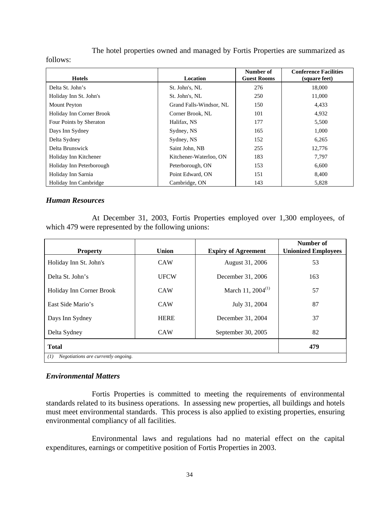The hotel properties owned and managed by Fortis Properties are summarized as

#### follows:

| <b>Hotels</b>            | <b>Location</b>         | Number of<br><b>Guest Rooms</b> | <b>Conference Facilities</b><br>(square feet) |
|--------------------------|-------------------------|---------------------------------|-----------------------------------------------|
| Delta St. John's         | St. John's, NL          | 276                             | 18,000                                        |
| Holiday Inn St. John's   | St. John's, NL          | 250                             | 11,000                                        |
| <b>Mount Peyton</b>      | Grand Falls-Windsor, NL | 150                             | 4,433                                         |
| Holiday Inn Corner Brook | Corner Brook, NL        | 101                             | 4,932                                         |
| Four Points by Sheraton  | Halifax, NS             | 177                             | 5,500                                         |
| Days Inn Sydney          | Sydney, NS              | 165                             | 1,000                                         |
| Delta Sydney             | Sydney, NS              | 152                             | 6,265                                         |
| Delta Brunswick          | Saint John, NB          | 255                             | 12.776                                        |
| Holiday Inn Kitchener    | Kitchener-Waterloo, ON  | 183                             | 7.797                                         |
| Holiday Inn Peterborough | Peterborough, ON        | 153                             | 6,600                                         |
| Holiday Inn Sarnia       | Point Edward, ON        | 151                             | 8,400                                         |
| Holiday Inn Cambridge    | Cambridge, ON           | 143                             | 5,828                                         |

# *Human Resources*

At December 31, 2003, Fortis Properties employed over 1,300 employees, of which 479 were represented by the following unions:

| <b>Property</b>                            | <b>Union</b> | <b>Expiry of Agreement</b> | Number of<br><b>Unionized Employees</b> |  |
|--------------------------------------------|--------------|----------------------------|-----------------------------------------|--|
| Holiday Inn St. John's                     | CAW          | August 31, 2006            | 53                                      |  |
| Delta St. John's                           | <b>UFCW</b>  | December 31, 2006          | 163                                     |  |
| Holiday Inn Corner Brook                   | CAW          | March 11, $2004^{(1)}$     | 57                                      |  |
| East Side Mario's                          | <b>CAW</b>   | July 31, 2004              | 87                                      |  |
| Days Inn Sydney                            | <b>HERE</b>  | December 31, 2004          | 37                                      |  |
| Delta Sydney                               | <b>CAW</b>   | September 30, 2005         | 82                                      |  |
| <b>Total</b>                               |              |                            | 479                                     |  |
| Negotiations are currently ongoing.<br>(1) |              |                            |                                         |  |

# *Environmental Matters*

Fortis Properties is committed to meeting the requirements of environmental standards related to its business operations. In assessing new properties, all buildings and hotels must meet environmental standards. This process is also applied to existing properties, ensuring environmental compliancy of all facilities.

Environmental laws and regulations had no material effect on the capital expenditures, earnings or competitive position of Fortis Properties in 2003.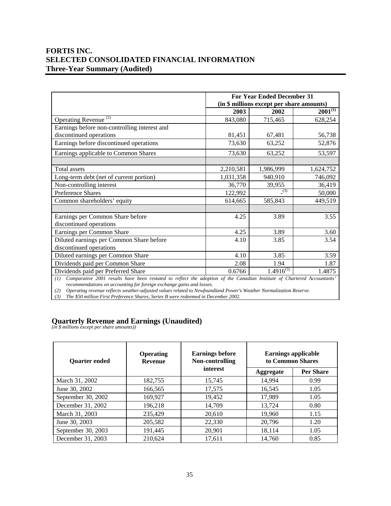# **FORTIS INC. SELECTED CONSOLIDATED FINANCIAL INFORMATION Three-Year Summary (Audited)**

|                                                                                                                                                                  |           | <b>For Year Ended December 31</b><br>(in \$ millions except per share amounts) |              |
|------------------------------------------------------------------------------------------------------------------------------------------------------------------|-----------|--------------------------------------------------------------------------------|--------------|
|                                                                                                                                                                  | 2003      | 2002                                                                           | $2001^{(1)}$ |
| Operating Revenue <sup>(2)</sup>                                                                                                                                 | 843,080   | 715,465                                                                        | 628,254      |
| Earnings before non-controlling interest and                                                                                                                     |           |                                                                                |              |
| discontinued operations                                                                                                                                          | 81,451    | 67,481                                                                         | 56,738       |
| Earnings before discontinued operations                                                                                                                          | 73,630    | 63,252                                                                         | 52,876       |
| Earnings applicable to Common Shares                                                                                                                             | 73,630    | 63,252                                                                         | 53,597       |
|                                                                                                                                                                  |           |                                                                                |              |
| Total assets                                                                                                                                                     | 2,210,581 | 1,986,999                                                                      | 1,624,752    |
| Long-term debt (net of current portion)                                                                                                                          | 1,031,358 | 940,910                                                                        | 746,092      |
| Non-controlling interest                                                                                                                                         | 36,770    | 39,955                                                                         | 36,419       |
| <b>Preference Shares</b>                                                                                                                                         | 122,992   | (3)                                                                            | 50,000       |
| Common shareholders' equity                                                                                                                                      | 614,665   | 585,843                                                                        | 449,519      |
|                                                                                                                                                                  |           |                                                                                |              |
| Earnings per Common Share before                                                                                                                                 | 4.25      | 3.89                                                                           | 3.55         |
| discontinued operations                                                                                                                                          |           |                                                                                |              |
| Earnings per Common Share                                                                                                                                        | 4.25      | 3.89                                                                           | 3.60         |
| Diluted earnings per Common Share before                                                                                                                         | 4.10      | 3.85                                                                           | 3.54         |
| discontinued operations                                                                                                                                          |           |                                                                                |              |
| Diluted earnings per Common Share                                                                                                                                | 4.10      | 3.85                                                                           | 3.59         |
| Dividends paid per Common Share                                                                                                                                  | 2.08      | 1.94                                                                           | 1.87         |
| Dividends paid per Preferred Share<br>(1) Comparative 2001 results have been restated to reflect the adoption of the Canadian Institute of Chaptered Association | 0.6766    | $1.491\overline{6}^{(3)}$                                                      | 1.4875       |

*(1) Comparative 2001 results have been restated to reflect the adoption of the Canadian Institute of Chartered Accountants' recommendations on accounting for foreign exchange gains and losses.* 

*(2) Operating revenue reflects weather-adjusted values related to Newfoundland Power's Weather Normalization Reserve.* 

*(3) The \$50 million First Preference Shares, Series B were redeemed in December 2002.* 

#### **Quarterly Revenue and Earnings (Unaudited)**

*(in \$ millions except per share amounts))* 

| <b>Ouarter ended</b> | <b>Operating</b><br><b>Revenue</b> | <b>Earnings before</b><br>Non-controlling<br>interest | <b>Earnings applicable</b><br>to Common Shares |                  |
|----------------------|------------------------------------|-------------------------------------------------------|------------------------------------------------|------------------|
|                      |                                    |                                                       | <b>Aggregate</b>                               | <b>Per Share</b> |
| March 31, 2002       | 182,755                            | 15,745                                                | 14.994                                         | 0.99             |
| June 30, 2002        | 166,565                            | 17,575                                                | 16.545                                         | 1.05             |
| September 30, 2002   | 169,927                            | 19,452                                                | 17,989                                         | 1.05             |
| December 31, 2002    | 196.218                            | 14,709                                                | 13.724                                         | 0.80             |
| March 31, 2003       | 235,429                            | 20,610                                                | 19,960                                         | 1.15             |
| June 30, 2003        | 205,582                            | 22,330                                                | 20.796                                         | 1.20             |
| September 30, 2003   | 191,445                            | 20,901                                                | 18,114                                         | 1.05             |
| December 31, 2003    | 210,624                            | 17,611                                                | 14.760                                         | 0.85             |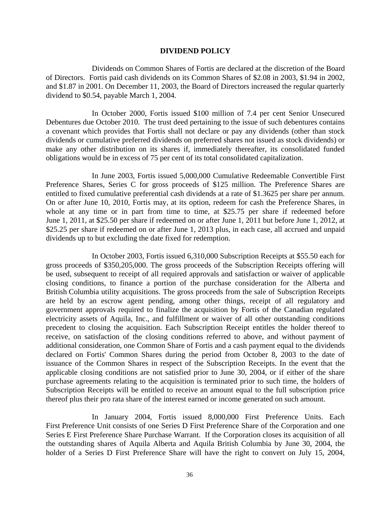#### **DIVIDEND POLICY**

 Dividends on Common Shares of Fortis are declared at the discretion of the Board of Directors. Fortis paid cash dividends on its Common Shares of \$2.08 in 2003, \$1.94 in 2002, and \$1.87 in 2001. On December 11, 2003, the Board of Directors increased the regular quarterly dividend to \$0.54, payable March 1, 2004.

In October 2000, Fortis issued \$100 million of 7.4 per cent Senior Unsecured Debentures due October 2010. The trust deed pertaining to the issue of such debentures contains a covenant which provides that Fortis shall not declare or pay any dividends (other than stock dividends or cumulative preferred dividends on preferred shares not issued as stock dividends) or make any other distribution on its shares if, immediately thereafter, its consolidated funded obligations would be in excess of 75 per cent of its total consolidated capitalization.

In June 2003, Fortis issued 5,000,000 Cumulative Redeemable Convertible First Preference Shares, Series C for gross proceeds of \$125 million. The Preference Shares are entitled to fixed cumulative preferential cash dividends at a rate of \$1.3625 per share per annum. On or after June 10, 2010, Fortis may, at its option, redeem for cash the Preference Shares, in whole at any time or in part from time to time, at \$25.75 per share if redeemed before June 1, 2011, at \$25.50 per share if redeemed on or after June 1, 2011 but before June 1, 2012, at \$25.25 per share if redeemed on or after June 1, 2013 plus, in each case, all accrued and unpaid dividends up to but excluding the date fixed for redemption.

In October 2003, Fortis issued 6,310,000 Subscription Receipts at \$55.50 each for gross proceeds of \$350,205,000. The gross proceeds of the Subscription Receipts offering will be used, subsequent to receipt of all required approvals and satisfaction or waiver of applicable closing conditions, to finance a portion of the purchase consideration for the Alberta and British Columbia utility acquisitions. The gross proceeds from the sale of Subscription Receipts are held by an escrow agent pending, among other things, receipt of all regulatory and government approvals required to finalize the acquisition by Fortis of the Canadian regulated electricity assets of Aquila, Inc., and fulfillment or waiver of all other outstanding conditions precedent to closing the acquisition. Each Subscription Receipt entitles the holder thereof to receive, on satisfaction of the closing conditions referred to above, and without payment of additional consideration, one Common Share of Fortis and a cash payment equal to the dividends declared on Fortis' Common Shares during the period from October 8, 2003 to the date of issuance of the Common Shares in respect of the Subscription Receipts. In the event that the applicable closing conditions are not satisfied prior to June 30, 2004, or if either of the share purchase agreements relating to the acquisition is terminated prior to such time, the holders of Subscription Receipts will be entitled to receive an amount equal to the full subscription price thereof plus their pro rata share of the interest earned or income generated on such amount.

In January 2004, Fortis issued 8,000,000 First Preference Units. Each First Preference Unit consists of one Series D First Preference Share of the Corporation and one Series E First Preference Share Purchase Warrant. If the Corporation closes its acquisition of all the outstanding shares of Aquila Alberta and Aquila British Columbia by June 30, 2004, the holder of a Series D First Preference Share will have the right to convert on July 15, 2004,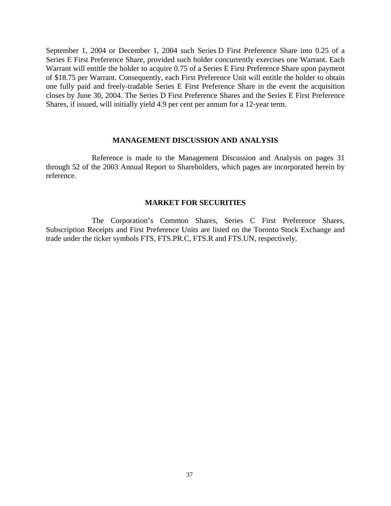September 1, 2004 or December 1, 2004 such Series D First Preference Share into 0.25 of a Series E First Preference Share, provided such holder concurrently exercises one Warrant. Each Warrant will entitle the holder to acquire 0.75 of a Series E First Preference Share upon payment of \$18.75 per Warrant. Consequently, each First Preference Unit will entitle the holder to obtain one fully paid and freely-tradable Series E First Preference Share in the event the acquisition closes by June 30, 2004. The Series D First Preference Shares and the Series E First Preference Shares, if issued, will initially yield 4.9 per cent per annum for a 12-year term.

#### **MANAGEMENT DISCUSSION AND ANALYSIS**

 Reference is made to the Management Discussion and Analysis on pages 31 through 52 of the 2003 Annual Report to Shareholders, which pages are incorporated herein by reference.

#### **MARKET FOR SECURITIES**

 The Corporation's Common Shares, Series C First Preference Shares, Subscription Receipts and First Preference Units are listed on the Toronto Stock Exchange and trade under the ticker symbols FTS, FTS.PR.C, FTS.R and FTS.UN, respectively.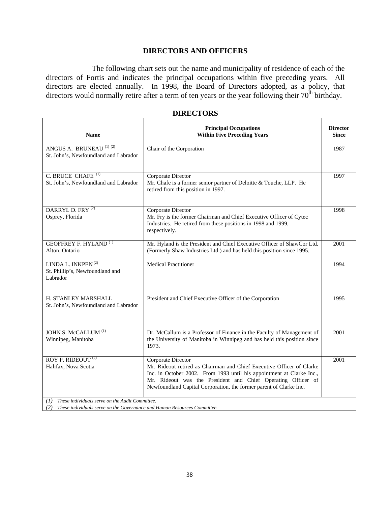# **DIRECTORS AND OFFICERS**

The following chart sets out the name and municipality of residence of each of the directors of Fortis and indicates the principal occupations within five preceding years. All directors are elected annually. In 1998, the Board of Directors adopted, as a policy, that directors would normally retire after a term of ten years or the year following their 70<sup>th</sup> birthday.

| <b>Name</b>                                                                   | <b>Principal Occupations</b><br><b>Within Five Preceding Years</b>                                                                                                                                                                                                                                         | <b>Director</b><br><b>Since</b> |
|-------------------------------------------------------------------------------|------------------------------------------------------------------------------------------------------------------------------------------------------------------------------------------------------------------------------------------------------------------------------------------------------------|---------------------------------|
| ANGUS A. BRUNEAU <sup>(1)(2)</sup><br>St. John's, Newfoundland and Labrador   | Chair of the Corporation                                                                                                                                                                                                                                                                                   | 1987                            |
| C. BRUCE CHAFE <sup>(1)</sup><br>St. John's, Newfoundland and Labrador        | Corporate Director<br>Mr. Chafe is a former senior partner of Deloitte & Touche, LLP. He<br>retired from this position in 1997.                                                                                                                                                                            | 1997                            |
| DARRYL D. FRY <sup>(2)</sup><br>Osprey, Florida                               | Corporate Director<br>Mr. Fry is the former Chairman and Chief Executive Officer of Cytec<br>Industries. He retired from these positions in 1998 and 1999,<br>respectively.                                                                                                                                | 1998                            |
| <b>GEOFFREY F. HYLAND</b> <sup>(1)</sup><br>Alton, Ontario                    | Mr. Hyland is the President and Chief Executive Officer of ShawCor Ltd.<br>(Formerly Shaw Industries Ltd.) and has held this position since 1995.                                                                                                                                                          | 2001                            |
| LINDA L. INKPEN <sup>(2)</sup><br>St. Phillip's, Newfoundland and<br>Labrador | <b>Medical Practitioner</b>                                                                                                                                                                                                                                                                                | 1994                            |
| H. STANLEY MARSHALL<br>St. John's, Newfoundland and Labrador                  | President and Chief Executive Officer of the Corporation                                                                                                                                                                                                                                                   | 1995                            |
| JOHN S. McCALLUM <sup>(1)</sup><br>Winnipeg, Manitoba                         | Dr. McCallum is a Professor of Finance in the Faculty of Management of<br>the University of Manitoba in Winnipeg and has held this position since<br>1973.                                                                                                                                                 | 2001                            |
| ROY P. RIDEOUT <sup>(2)</sup><br>Halifax, Nova Scotia                         | Corporate Director<br>Mr. Rideout retired as Chairman and Chief Executive Officer of Clarke<br>Inc. in October 2002. From 1993 until his appointment at Clarke Inc.,<br>Mr. Rideout was the President and Chief Operating Officer of<br>Newfoundland Capital Corporation, the former parent of Clarke Inc. | 2001                            |
| (1) These individuals serve on the Audit Committee.                           |                                                                                                                                                                                                                                                                                                            |                                 |

#### **DIRECTORS**

*(2) These individuals serve on the Governance and Human Resources Committee.*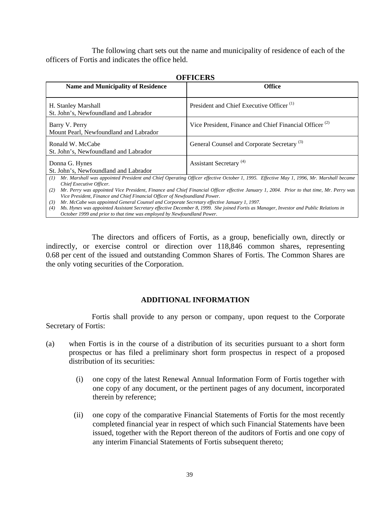The following chart sets out the name and municipality of residence of each of the officers of Fortis and indicates the office held.

| UFFICERS                                                                                                             |                                                                                                                                                                                                                                                                                    |  |
|----------------------------------------------------------------------------------------------------------------------|------------------------------------------------------------------------------------------------------------------------------------------------------------------------------------------------------------------------------------------------------------------------------------|--|
| <b>Name and Municipality of Residence</b>                                                                            | <b>Office</b>                                                                                                                                                                                                                                                                      |  |
| H. Stanley Marshall<br>St. John's, Newfoundland and Labrador                                                         | President and Chief Executive Officer <sup>(1)</sup>                                                                                                                                                                                                                               |  |
| Barry V. Perry<br>Mount Pearl, Newfoundland and Labrador                                                             | Vice President, Finance and Chief Financial Officer <sup>(2)</sup>                                                                                                                                                                                                                 |  |
| Ronald W. McCabe<br>St. John's, Newfoundland and Labrador                                                            | General Counsel and Corporate Secretary <sup>(3)</sup>                                                                                                                                                                                                                             |  |
| Donna G. Hynes<br>St. John's, Newfoundland and Labrador                                                              | Assistant Secretary <sup>(4)</sup>                                                                                                                                                                                                                                                 |  |
| (I)<br>Chief Executive Officer.<br>(2)<br>Vice President, Finance and Chief Financial Officer of Newfoundland Power. | Mr. Marshall was appointed President and Chief Operating Officer effective October 1, 1995. Effective May 1, 1996, Mr. Marshall became<br>Mr. Perry was appointed Vice President, Finance and Chief Financial Officer effective January 1, 2004. Prior to that time, Mr. Perry was |  |

#### **OFFICERS**

*(3) Mr. McCabe was appointed General Counsel and Corporate Secretary effective January 1, 1997. (4) Ms. Hynes was appointed Assistant Secretary effective December 8, 1999. She joined Fortis as Manager, Investor and Public Relations in* 

*October 1999 and prior to that time was employed by Newfoundland Power.* 

The directors and officers of Fortis, as a group, beneficially own, directly or indirectly, or exercise control or direction over 118,846 common shares, representing 0.68 per cent of the issued and outstanding Common Shares of Fortis. The Common Shares are the only voting securities of the Corporation.

# **ADDITIONAL INFORMATION**

 Fortis shall provide to any person or company, upon request to the Corporate Secretary of Fortis:

- (a) when Fortis is in the course of a distribution of its securities pursuant to a short form prospectus or has filed a preliminary short form prospectus in respect of a proposed distribution of its securities:
	- (i) one copy of the latest Renewal Annual Information Form of Fortis together with one copy of any document, or the pertinent pages of any document, incorporated therein by reference;
	- (ii) one copy of the comparative Financial Statements of Fortis for the most recently completed financial year in respect of which such Financial Statements have been issued, together with the Report thereon of the auditors of Fortis and one copy of any interim Financial Statements of Fortis subsequent thereto;